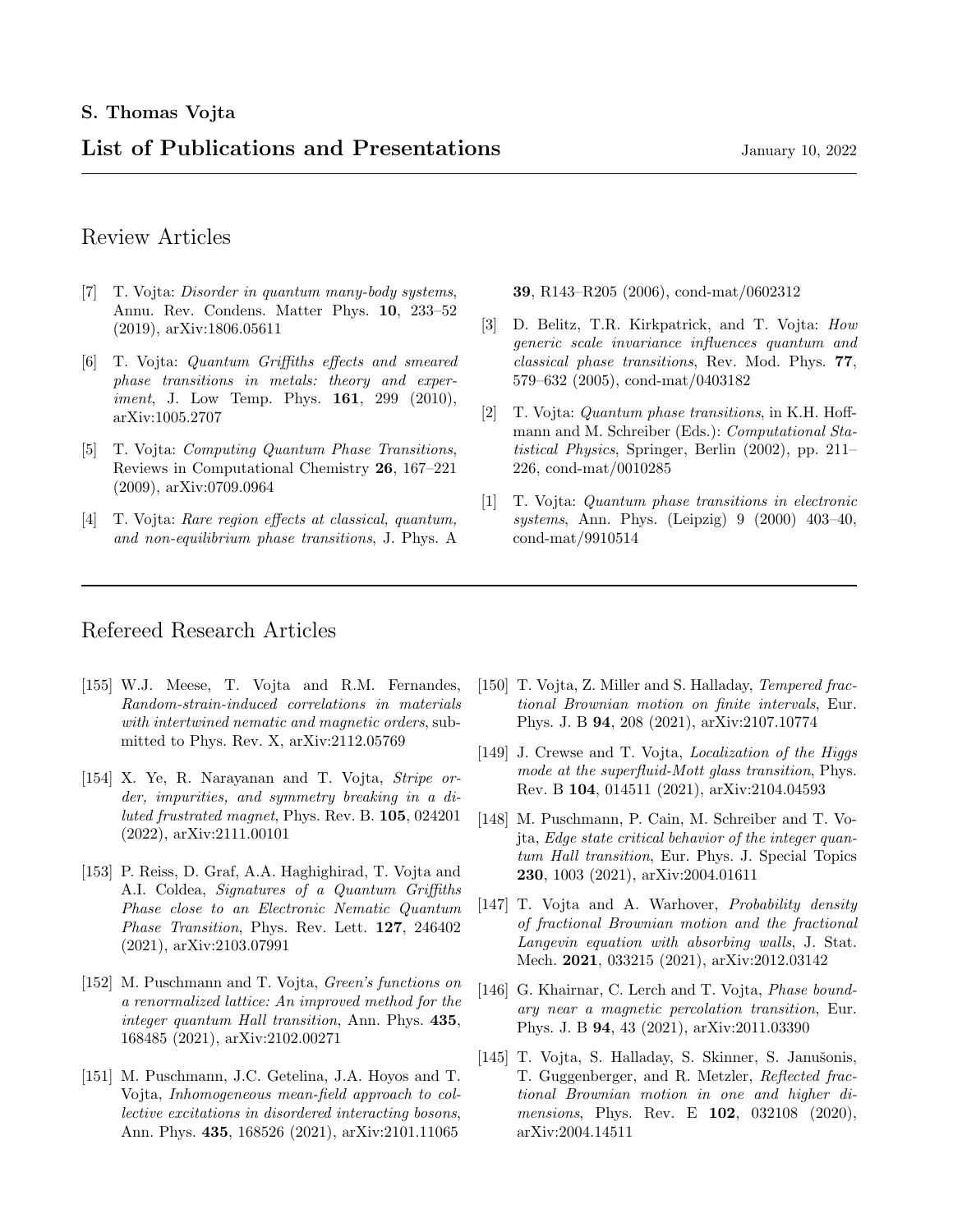# List of Publications and Presentations January 10, 2022

### Review Articles

- [7] T. Vojta: *Disorder in quantum many-body systems*, Annu. Rev. Condens. Matter Phys. 10, 233–52 (2019), arXiv:1806.05611
- [6] T. Vojta: Quantum Griffiths effects and smeared phase transitions in metals: theory and experiment, J. Low Temp. Phys. **161**, 299 (2010), arXiv:1005.2707
- [5] T. Vojta: Computing Quantum Phase Transitions, Reviews in Computational Chemistry 26, 167–221 (2009), arXiv:0709.0964
- [4] T. Vojta: Rare region effects at classical, quantum, and non-equilibrium phase transitions, J. Phys. A

39, R143–R205 (2006), cond-mat/0602312

- [3] D. Belitz, T.R. Kirkpatrick, and T. Vojta: How generic scale invariance influences quantum and classical phase transitions, Rev. Mod. Phys. 77, 579–632 (2005), cond-mat/0403182
- [2] T. Vojta: Quantum phase transitions, in K.H. Hoffmann and M. Schreiber (Eds.): Computational Statistical Physics, Springer, Berlin (2002), pp. 211– 226, cond-mat/0010285
- [1] T. Vojta: Quantum phase transitions in electronic systems, Ann. Phys. (Leipzig) 9 (2000) 403-40, cond-mat/9910514

### Refereed Research Articles

- [155] W.J. Meese, T. Vojta and R.M. Fernandes, Random-strain-induced correlations in materials with intertwined nematic and magnetic orders, submitted to Phys. Rev. X, arXiv:2112.05769
- [154] X. Ye, R. Narayanan and T. Vojta, Stripe order, impurities, and symmetry breaking in a diluted frustrated magnet, Phys. Rev. B. 105, 024201 (2022), arXiv:2111.00101
- [153] P. Reiss, D. Graf, A.A. Haghighirad, T. Vojta and A.I. Coldea, Signatures of a Quantum Griffiths Phase close to an Electronic Nematic Quantum Phase Transition, Phys. Rev. Lett. 127, 246402 (2021), arXiv:2103.07991
- [152] M. Puschmann and T. Vojta, Green's functions on a renormalized lattice: An improved method for the integer quantum Hall transition, Ann. Phys. 435, 168485 (2021), arXiv:2102.00271
- [151] M. Puschmann, J.C. Getelina, J.A. Hoyos and T. Vojta, Inhomogeneous mean-field approach to collective excitations in disordered interacting bosons, Ann. Phys. 435, 168526 (2021), arXiv:2101.11065
- [150] T. Vojta, Z. Miller and S. Halladay, *Tempered frac*tional Brownian motion on finite intervals, Eur. Phys. J. B 94, 208 (2021), arXiv:2107.10774
- [149] J. Crewse and T. Vojta, Localization of the Higgs mode at the superfluid-Mott glass transition, Phys. Rev. B 104, 014511 (2021), arXiv:2104.04593
- [148] M. Puschmann, P. Cain, M. Schreiber and T. Vojta, Edge state critical behavior of the integer quantum Hall transition, Eur. Phys. J. Special Topics 230, 1003 (2021), arXiv:2004.01611
- [147] T. Vojta and A. Warhover, *Probability density* of fractional Brownian motion and the fractional Langevin equation with absorbing walls, J. Stat. Mech. **2021**, 033215 (2021), arXiv:2012.03142
- [146] G. Khairnar, C. Lerch and T. Vojta, *Phase bound*ary near a magnetic percolation transition, Eur. Phys. J. B 94, 43 (2021), arXiv:2011.03390
- [145] T. Vojta, S. Halladay, S. Skinner, S. Janušonis, T. Guggenberger, and R. Metzler, Reflected fractional Brownian motion in one and higher dimensions, Phys. Rev. E 102, 032108 (2020), arXiv:2004.14511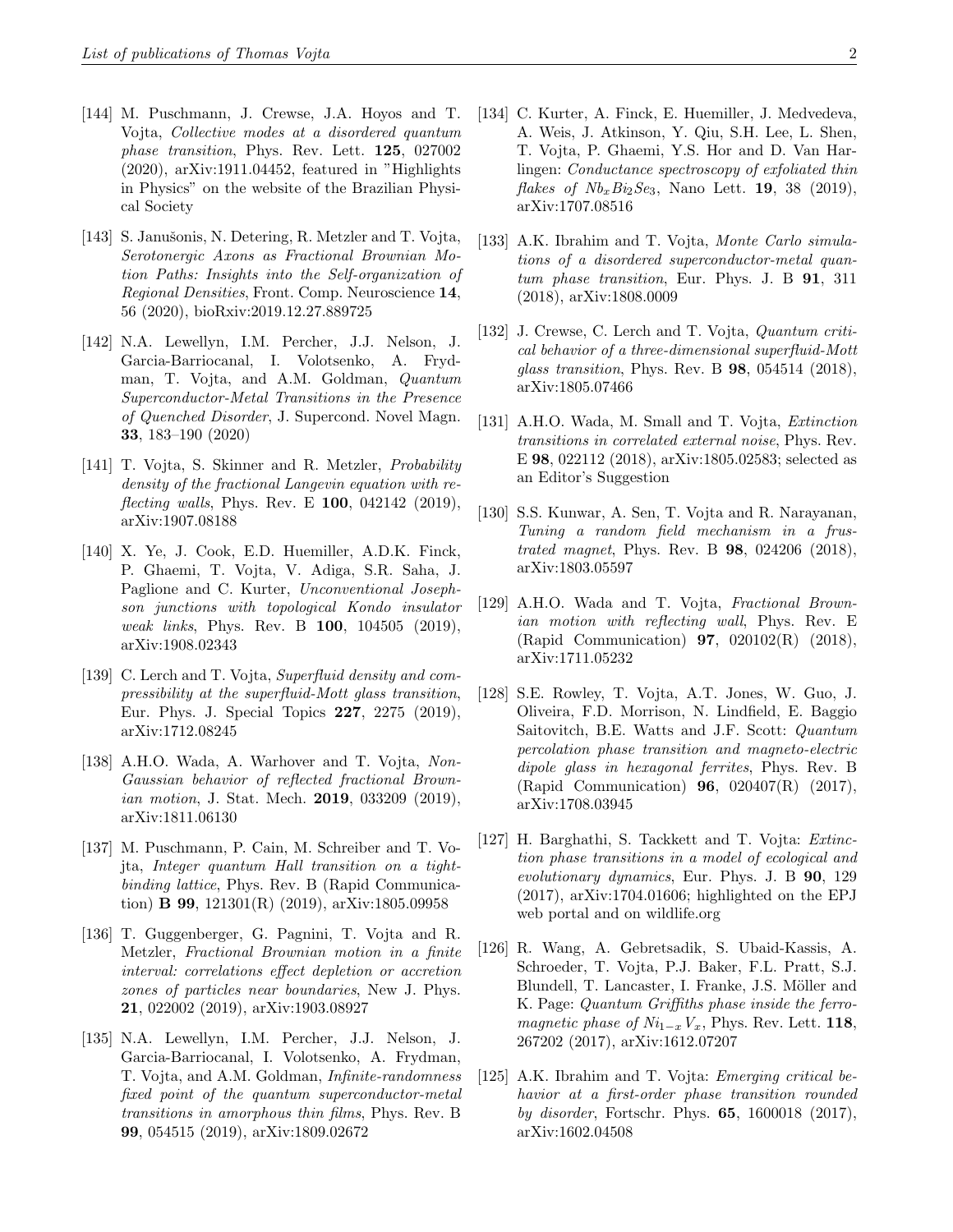- [144] M. Puschmann, J. Crewse, J.A. Hoyos and T. Vojta, Collective modes at a disordered quantum phase transition, Phys. Rev. Lett. 125, 027002 (2020), arXiv:1911.04452, featured in "Highlights in Physics" on the website of the Brazilian Physical Society
- [143] S. Janušonis, N. Detering, R. Metzler and T. Vojta, Serotonergic Axons as Fractional Brownian Motion Paths: Insights into the Self-organization of Regional Densities, Front. Comp. Neuroscience 14, 56 (2020), bioRxiv:2019.12.27.889725
- [142] N.A. Lewellyn, I.M. Percher, J.J. Nelson, J. Garcia-Barriocanal, I. Volotsenko, A. Frydman, T. Vojta, and A.M. Goldman, Quantum Superconductor-Metal Transitions in the Presence of Quenched Disorder, J. Supercond. Novel Magn. 33, 183–190 (2020)
- [141] T. Vojta, S. Skinner and R. Metzler, Probability density of the fractional Langevin equation with re*flecting walls*, Phys. Rev. E  $100$ , 042142 (2019), arXiv:1907.08188
- [140] X. Ye, J. Cook, E.D. Huemiller, A.D.K. Finck, P. Ghaemi, T. Vojta, V. Adiga, S.R. Saha, J. Paglione and C. Kurter, Unconventional Josephson junctions with topological Kondo insulator weak links, Phys. Rev. B 100, 104505 (2019), arXiv:1908.02343
- [139] C. Lerch and T. Vojta, Superfluid density and compressibility at the superfluid-Mott glass transition, Eur. Phys. J. Special Topics 227, 2275 (2019), arXiv:1712.08245
- [138] A.H.O. Wada, A. Warhover and T. Vojta, Non-Gaussian behavior of reflected fractional Brownian motion, J. Stat. Mech. 2019, 033209 (2019), arXiv:1811.06130
- [137] M. Puschmann, P. Cain, M. Schreiber and T. Vojta, Integer quantum Hall transition on a tightbinding lattice, Phys. Rev. B (Rapid Communication) B 99, 121301(R) (2019), arXiv:1805.09958
- [136] T. Guggenberger, G. Pagnini, T. Vojta and R. Metzler, Fractional Brownian motion in a finite interval: correlations effect depletion or accretion zones of particles near boundaries, New J. Phys. 21, 022002 (2019), arXiv:1903.08927
- [135] N.A. Lewellyn, I.M. Percher, J.J. Nelson, J. Garcia-Barriocanal, I. Volotsenko, A. Frydman, T. Vojta, and A.M. Goldman, Infinite-randomness fixed point of the quantum superconductor-metal transitions in amorphous thin films, Phys. Rev. B 99, 054515 (2019), arXiv:1809.02672
- [134] C. Kurter, A. Finck, E. Huemiller, J. Medvedeva, A. Weis, J. Atkinson, Y. Qiu, S.H. Lee, L. Shen, T. Vojta, P. Ghaemi, Y.S. Hor and D. Van Harlingen: Conductance spectroscopy of exfoliated thin *flakes of Nb<sub>x</sub>Bi<sub>2</sub>Se<sub>3</sub>*, Nano Lett. **19**, 38 (2019), arXiv:1707.08516
- [133] A.K. Ibrahim and T. Vojta, Monte Carlo simulations of a disordered superconductor-metal quantum phase transition, Eur. Phys. J. B 91, 311 (2018), arXiv:1808.0009
- [132] J. Crewse, C. Lerch and T. Vojta, *Quantum criti*cal behavior of a three-dimensional superfluid-Mott glass transition, Phys. Rev. B 98, 054514 (2018), arXiv:1805.07466
- [131] A.H.O. Wada, M. Small and T. Vojta, Extinction transitions in correlated external noise, Phys. Rev. E 98, 022112 (2018), arXiv:1805.02583; selected as an Editor's Suggestion
- [130] S.S. Kunwar, A. Sen, T. Vojta and R. Narayanan, Tuning a random field mechanism in a frustrated magnet, Phys. Rev. B 98, 024206 (2018), arXiv:1803.05597
- [129] A.H.O. Wada and T. Vojta, Fractional Brownian motion with reflecting wall, Phys. Rev. E (Rapid Communication) 97, 020102(R) (2018), arXiv:1711.05232
- [128] S.E. Rowley, T. Vojta, A.T. Jones, W. Guo, J. Oliveira, F.D. Morrison, N. Lindfield, E. Baggio Saitovitch, B.E. Watts and J.F. Scott: Quantum percolation phase transition and magneto-electric dipole glass in hexagonal ferrites, Phys. Rev. B (Rapid Communication) 96, 020407(R) (2017), arXiv:1708.03945
- [127] H. Barghathi, S. Tackkett and T. Vojta: Extinction phase transitions in a model of ecological and evolutionary dynamics, Eur. Phys. J. B 90, 129 (2017), arXiv:1704.01606; highlighted on the EPJ web portal and on wildlife.org
- [126] R. Wang, A. Gebretsadik, S. Ubaid-Kassis, A. Schroeder, T. Vojta, P.J. Baker, F.L. Pratt, S.J. Blundell, T. Lancaster, I. Franke, J.S. Möller and K. Page: Quantum Griffiths phase inside the ferromagnetic phase of  $Ni_{1-x}V_x$ , Phys. Rev. Lett. 118, 267202 (2017), arXiv:1612.07207
- [125] A.K. Ibrahim and T. Vojta: *Emerging critical be*havior at a first-order phase transition rounded by disorder, Fortschr. Phys. 65, 1600018 (2017), arXiv:1602.04508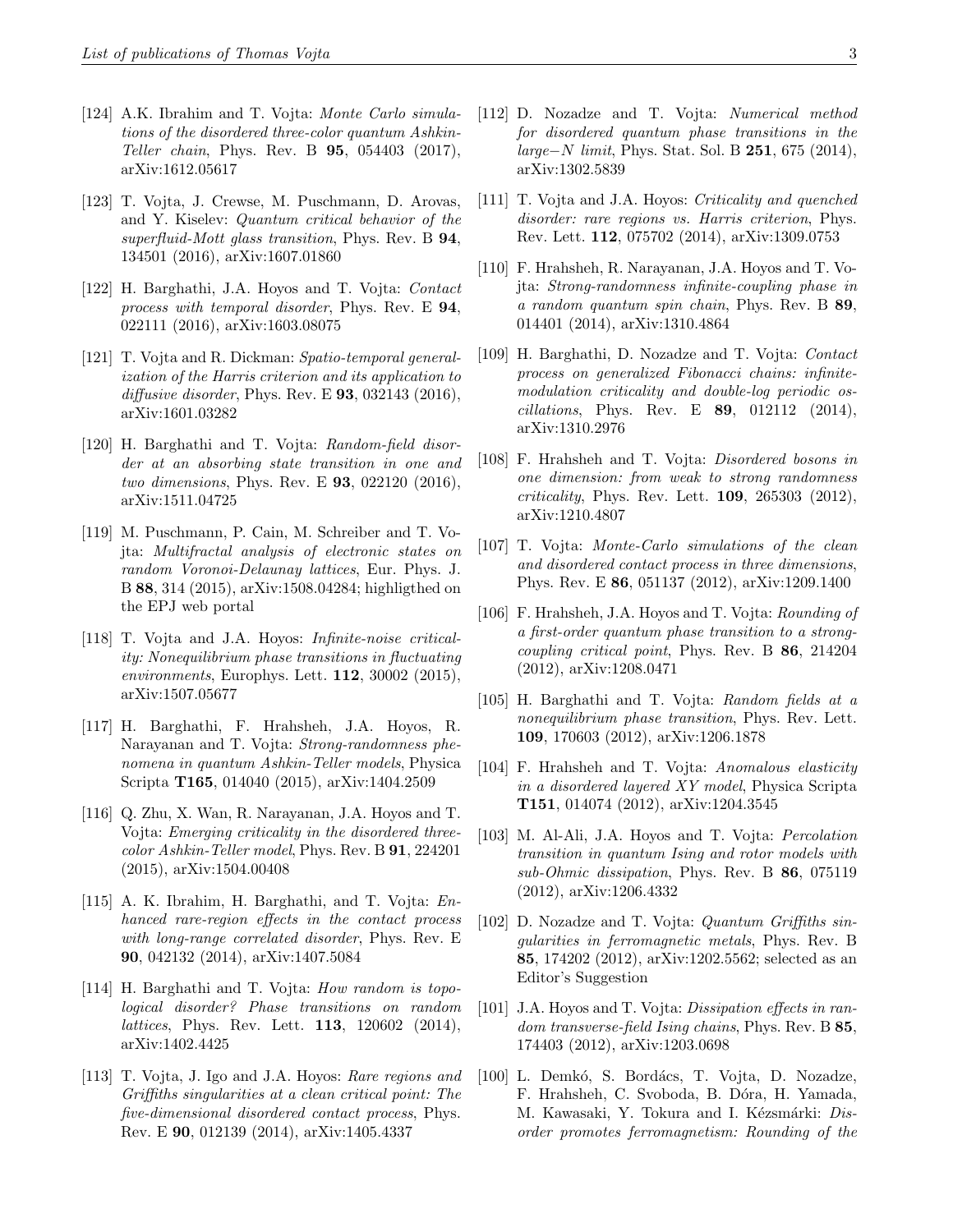- [124] A.K. Ibrahim and T. Vojta: Monte Carlo simulations of the disordered three-color quantum Ashkin-Teller chain, Phys. Rev. B 95, 054403 (2017), arXiv:1612.05617
- [123] T. Vojta, J. Crewse, M. Puschmann, D. Arovas, and Y. Kiselev: Quantum critical behavior of the superfluid-Mott glass transition, Phys. Rev. B 94, 134501 (2016), arXiv:1607.01860
- [122] H. Barghathi, J.A. Hoyos and T. Vojta: Contact process with temporal disorder, Phys. Rev. E 94, 022111 (2016), arXiv:1603.08075
- [121] T. Vojta and R. Dickman: Spatio-temporal generalization of the Harris criterion and its application to diffusive disorder, Phys. Rev. E  $93$ , 032143 (2016), arXiv:1601.03282
- [120] H. Barghathi and T. Vojta: Random-field disorder at an absorbing state transition in one and two dimensions, Phys. Rev. E 93, 022120 (2016), arXiv:1511.04725
- [119] M. Puschmann, P. Cain, M. Schreiber and T. Vojta: Multifractal analysis of electronic states on random Voronoi-Delaunay lattices, Eur. Phys. J. B 88, 314 (2015), arXiv:1508.04284; highligthed on the EPJ web portal
- [118] T. Vojta and J.A. Hoyos: Infinite-noise criticality: Nonequilibrium phase transitions in fluctuating environments, Europhys. Lett. 112, 30002 (2015), arXiv:1507.05677
- [117] H. Barghathi, F. Hrahsheh, J.A. Hoyos, R. Narayanan and T. Vojta: Strong-randomness phenomena in quantum Ashkin-Teller models, Physica Scripta T165, 014040 (2015), arXiv:1404.2509
- [116] Q. Zhu, X. Wan, R. Narayanan, J.A. Hoyos and T. Vojta: Emerging criticality in the disordered threecolor Ashkin-Teller model, Phys. Rev. B 91, 224201 (2015), arXiv:1504.00408
- [115] A. K. Ibrahim, H. Barghathi, and T. Vojta: Enhanced rare-region effects in the contact process with long-range correlated disorder, Phys. Rev. E 90, 042132 (2014), arXiv:1407.5084
- [114] H. Barghathi and T. Vojta: How random is topological disorder? Phase transitions on random lattices, Phys. Rev. Lett. 113, 120602 (2014), arXiv:1402.4425
- [113] T. Vojta, J. Igo and J.A. Hoyos: Rare regions and Griffiths singularities at a clean critical point: The five-dimensional disordered contact process, Phys. Rev. E 90, 012139 (2014), arXiv:1405.4337
- [112] D. Nozadze and T. Vojta: Numerical method for disordered quantum phase transitions in the *large–N limit*, Phys. Stat. Sol. B 251, 675 (2014), arXiv:1302.5839
- [111] T. Vojta and J.A. Hoyos: Criticality and quenched disorder: rare regions vs. Harris criterion, Phys. Rev. Lett. 112, 075702 (2014), arXiv:1309.0753
- [110] F. Hrahsheh, R. Narayanan, J.A. Hoyos and T. Vojta: Strong-randomness infinite-coupling phase in a random quantum spin chain, Phys. Rev. B 89, 014401 (2014), arXiv:1310.4864
- [109] H. Barghathi, D. Nozadze and T. Vojta: Contact process on generalized Fibonacci chains: infinitemodulation criticality and double-log periodic os*cillations*, Phys. Rev. E  $89$ , 012112 (2014), arXiv:1310.2976
- [108] F. Hrahsheh and T. Vojta: Disordered bosons in one dimension: from weak to strong randomness  $critically, Phys. Rev. Lett. 109, 265303 (2012),$ arXiv:1210.4807
- [107] T. Vojta: Monte-Carlo simulations of the clean and disordered contact process in three dimensions, Phys. Rev. E 86, 051137 (2012), arXiv:1209.1400
- [106] F. Hrahsheh, J.A. Hoyos and T. Vojta: Rounding of a first-order quantum phase transition to a strongcoupling critical point, Phys. Rev. B 86, 214204 (2012), arXiv:1208.0471
- [105] H. Barghathi and T. Vojta: Random fields at a nonequilibrium phase transition, Phys. Rev. Lett. 109, 170603 (2012), arXiv:1206.1878
- [104] F. Hrahsheh and T. Vojta: Anomalous elasticity in a disordered layered XY model, Physica Scripta T151, 014074 (2012), arXiv:1204.3545
- [103] M. Al-Ali, J.A. Hoyos and T. Vojta: Percolation transition in quantum Ising and rotor models with sub-Ohmic dissipation, Phys. Rev. B 86, 075119 (2012), arXiv:1206.4332
- [102] D. Nozadze and T. Vojta: Quantum Griffiths singularities in ferromagnetic metals, Phys. Rev. B 85, 174202 (2012), arXiv:1202.5562; selected as an Editor's Suggestion
- [101] J.A. Hoyos and T. Vojta: *Dissipation effects in ran*dom transverse-field Ising chains, Phys. Rev. B 85, 174403 (2012), arXiv:1203.0698
- [100] L. Demkó, S. Bordács, T. Vojta, D. Nozadze, F. Hrahsheh, C. Svoboda, B. Dóra, H. Yamada, M. Kawasaki, Y. Tokura and I. Kézsmárki: Disorder promotes ferromagnetism: Rounding of the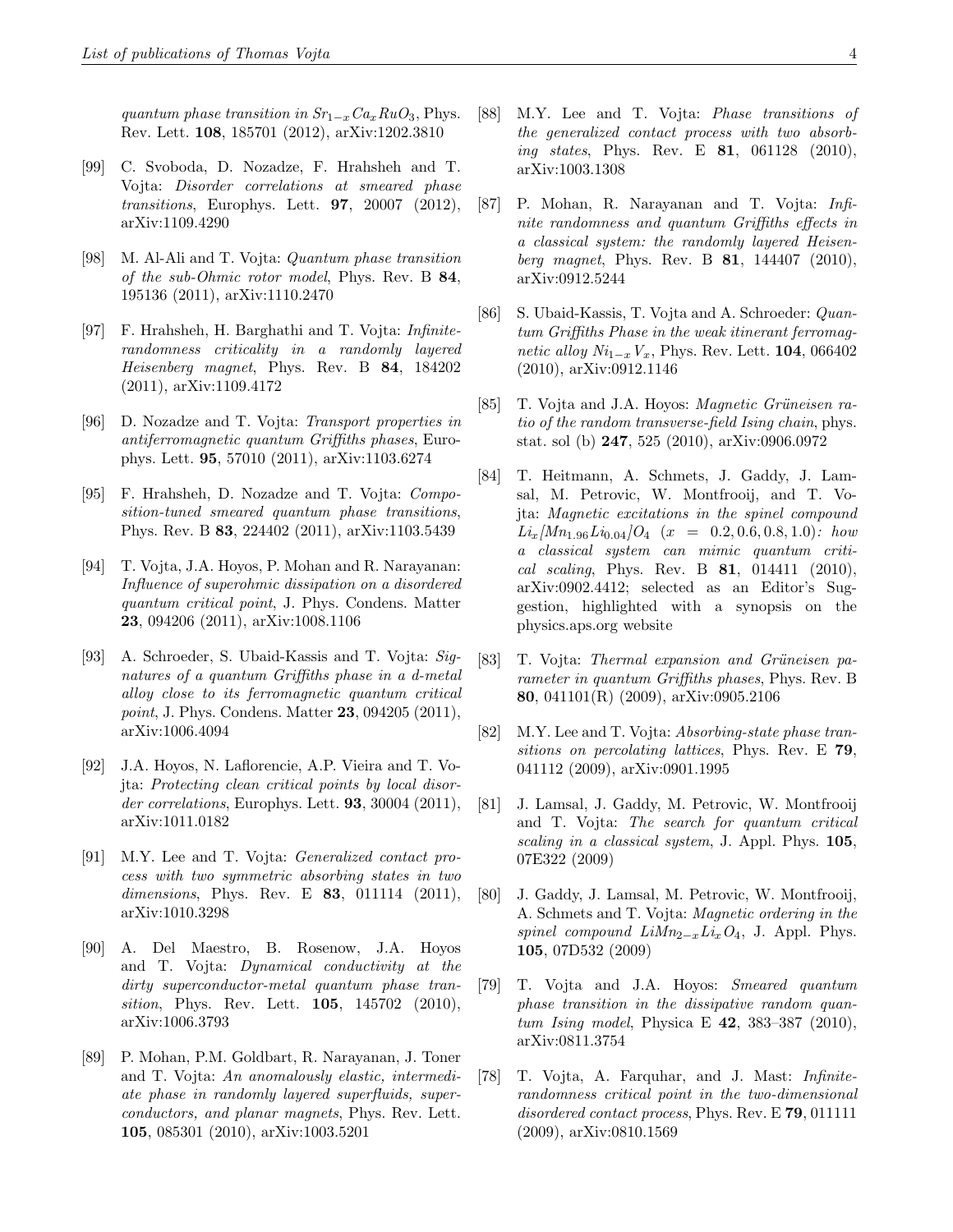quantum phase transition in  $Sr_{1-x}Ca_xRuO_3$ , Phys. Rev. Lett. 108, 185701 (2012), arXiv:1202.3810

- [99] C. Svoboda, D. Nozadze, F. Hrahsheh and T. Vojta: Disorder correlations at smeared phase transitions, Europhys. Lett. 97, 20007 (2012), arXiv:1109.4290
- [98] M. Al-Ali and T. Vojta: Quantum phase transition of the sub-Ohmic rotor model, Phys. Rev. B 84, 195136 (2011), arXiv:1110.2470
- [97] F. Hrahsheh, H. Barghathi and T. Vojta: Infiniterandomness criticality in a randomly layered Heisenberg magnet, Phys. Rev. B 84, 184202 (2011), arXiv:1109.4172
- [96] D. Nozadze and T. Vojta: Transport properties in antiferromagnetic quantum Griffiths phases, Europhys. Lett. 95, 57010 (2011), arXiv:1103.6274
- [95] F. Hrahsheh, D. Nozadze and T. Vojta: Composition-tuned smeared quantum phase transitions, Phys. Rev. B 83, 224402 (2011), arXiv:1103.5439
- [94] T. Vojta, J.A. Hoyos, P. Mohan and R. Narayanan: Influence of superohmic dissipation on a disordered quantum critical point, J. Phys. Condens. Matter 23, 094206 (2011), arXiv:1008.1106
- [93] A. Schroeder, S. Ubaid-Kassis and T. Vojta: Signatures of a quantum Griffiths phase in a d-metal alloy close to its ferromagnetic quantum critical point, J. Phys. Condens. Matter **23**, 094205 (2011), arXiv:1006.4094
- [92] J.A. Hoyos, N. Laflorencie, A.P. Vieira and T. Vojta: Protecting clean critical points by local disorder correlations, Europhys. Lett. **93**, 30004 (2011), arXiv:1011.0182
- [91] M.Y. Lee and T. Vojta: Generalized contact process with two symmetric absorbing states in two dimensions, Phys. Rev. E **83**, 011114 (2011), arXiv:1010.3298
- [90] A. Del Maestro, B. Rosenow, J.A. Hoyos and T. Vojta: Dynamical conductivity at the dirty superconductor-metal quantum phase transition, Phys. Rev. Lett. **105**, 145702 (2010), arXiv:1006.3793
- [89] P. Mohan, P.M. Goldbart, R. Narayanan, J. Toner and T. Vojta: An anomalously elastic, intermediate phase in randomly layered superfluids, superconductors, and planar magnets, Phys. Rev. Lett. 105, 085301 (2010), arXiv:1003.5201
- [88] M.Y. Lee and T. Vojta: Phase transitions of the generalized contact process with two absorbing states, Phys. Rev. E **81**, 061128 (2010), arXiv:1003.1308
- [87] P. Mohan, R. Narayanan and T. Vojta: Infinite randomness and quantum Griffiths effects in a classical system: the randomly layered Heisenberg magnet, Phys. Rev. B 81, 144407 (2010), arXiv:0912.5244
- [86] S. Ubaid-Kassis, T. Vojta and A. Schroeder: Quantum Griffiths Phase in the weak itinerant ferromagnetic alloy  $Ni_{1-x}V_x$ , Phys. Rev. Lett. 104, 066402 (2010), arXiv:0912.1146
- [85] T. Vojta and J.A. Hoyos: *Magnetic Grüneisen ra*tio of the random transverse-field Ising chain, phys. stat. sol (b) 247, 525 (2010), arXiv:0906.0972
- [84] T. Heitmann, A. Schmets, J. Gaddy, J. Lamsal, M. Petrovic, W. Montfrooij, and T. Vojta: Magnetic excitations in the spinel compound  $Li_x/Mn_{1.96}Li_{0.04}/O_4$  (x = 0.2, 0.6, 0.8, 1.0): how a classical system can mimic quantum critical scaling, Phys. Rev. B 81, 014411 (2010), arXiv:0902.4412; selected as an Editor's Suggestion, highlighted with a synopsis on the physics.aps.org website
- [83] T. Vojta: Thermal expansion and Grüneisen parameter in quantum Griffiths phases, Phys. Rev. B 80, 041101(R) (2009), arXiv:0905.2106
- [82] M.Y. Lee and T. Vojta: Absorbing-state phase transitions on percolating lattices, Phys. Rev. E 79, 041112 (2009), arXiv:0901.1995
- [81] J. Lamsal, J. Gaddy, M. Petrovic, W. Montfrooij and T. Vojta: The search for quantum critical scaling in a classical system, J. Appl. Phys. 105, 07E322 (2009)
- [80] J. Gaddy, J. Lamsal, M. Petrovic, W. Montfrooij, A. Schmets and T. Vojta: Magnetic ordering in the spinel compound  $LiMn_{2-x}Li_xO_4$ , J. Appl. Phys. 105, 07D532 (2009)
- [79] T. Vojta and J.A. Hoyos: Smeared quantum phase transition in the dissipative random quantum Ising model, Physica E 42, 383–387 (2010), arXiv:0811.3754
- [78] T. Vojta, A. Farquhar, and J. Mast: Infiniterandomness critical point in the two-dimensional disordered contact process, Phys. Rev. E 79, 011111 (2009), arXiv:0810.1569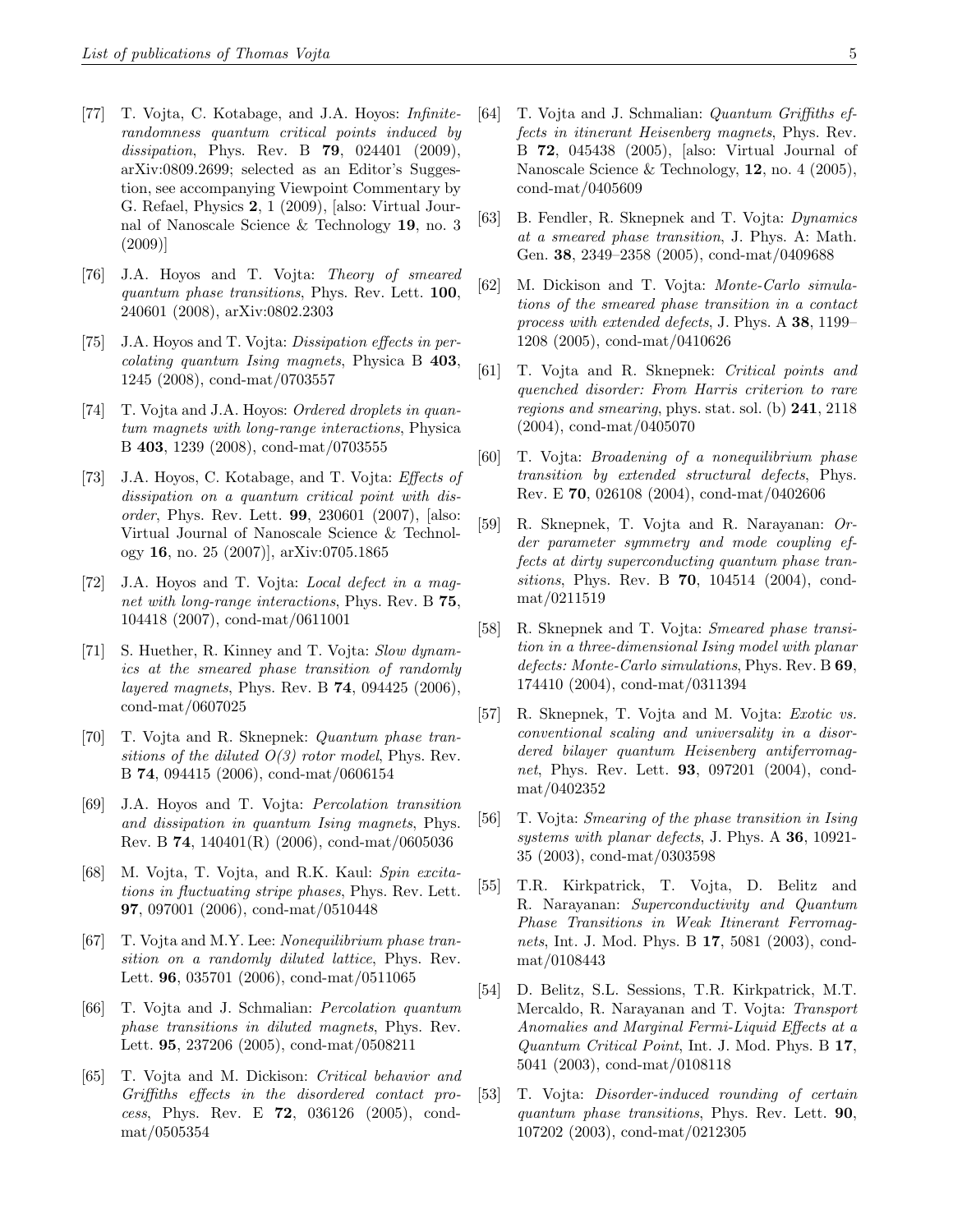- [77] T. Vojta, C. Kotabage, and J.A. Hoyos: Infiniterandomness quantum critical points induced by dissipation, Phys. Rev. B **79**, 024401 (2009), arXiv:0809.2699; selected as an Editor's Suggestion, see accompanying Viewpoint Commentary by G. Refael, Physics 2, 1 (2009), [also: Virtual Journal of Nanoscale Science & Technology 19, no. 3 (2009)]
- [76] J.A. Hoyos and T. Vojta: Theory of smeared quantum phase transitions, Phys. Rev. Lett. 100, 240601 (2008), arXiv:0802.2303
- [75] J.A. Hoyos and T. Vojta: *Dissipation effects in per*colating quantum Ising magnets, Physica B 403, 1245 (2008), cond-mat/0703557
- [74] T. Vojta and J.A. Hoyos: Ordered droplets in quantum magnets with long-range interactions, Physica B 403, 1239 (2008), cond-mat/0703555
- [73] J.A. Hoyos, C. Kotabage, and T. Vojta: Effects of dissipation on a quantum critical point with disorder, Phys. Rev. Lett. 99, 230601 (2007), [also: Virtual Journal of Nanoscale Science & Technology 16, no. 25 (2007)], arXiv:0705.1865
- [72] J.A. Hoyos and T. Vojta: Local defect in a magnet with long-range interactions, Phys. Rev. B 75, 104418 (2007), cond-mat/0611001
- [71] S. Huether, R. Kinney and T. Vojta: Slow dynamics at the smeared phase transition of randomly layered magnets, Phys. Rev. B 74, 094425 (2006), cond-mat/0607025
- [70] T. Vojta and R. Sknepnek: Quantum phase transitions of the diluted  $O(3)$  rotor model, Phys. Rev. B 74, 094415 (2006), cond-mat/0606154
- [69] J.A. Hoyos and T. Vojta: Percolation transition and dissipation in quantum Ising magnets, Phys. Rev. B 74, 140401(R) (2006), cond-mat/0605036
- [68] M. Vojta, T. Vojta, and R.K. Kaul: Spin excitations in fluctuating stripe phases, Phys. Rev. Lett. 97, 097001 (2006), cond-mat/0510448
- [67] T. Vojta and M.Y. Lee: *Nonequilibrium phase tran*sition on a randomly diluted lattice, Phys. Rev. Lett. 96, 035701 (2006), cond-mat/0511065
- [66] T. Vojta and J. Schmalian: Percolation quantum phase transitions in diluted magnets, Phys. Rev. Lett. 95, 237206 (2005), cond-mat/0508211
- [65] T. Vojta and M. Dickison: Critical behavior and Griffiths effects in the disordered contact process, Phys. Rev. E 72, 036126 (2005), condmat/0505354
- [64] T. Vojta and J. Schmalian: Quantum Griffiths effects in itinerant Heisenberg magnets, Phys. Rev. B 72, 045438 (2005), [also: Virtual Journal of Nanoscale Science & Technology, 12, no. 4 (2005), cond-mat/0405609
- [63] B. Fendler, R. Sknepnek and T. Vojta: Dynamics at a smeared phase transition, J. Phys. A: Math. Gen. 38, 2349–2358 (2005), cond-mat/0409688
- [62] M. Dickison and T. Vojta: Monte-Carlo simulations of the smeared phase transition in a contact process with extended defects, J. Phys. A 38, 1199– 1208 (2005), cond-mat/0410626
- [61] T. Vojta and R. Sknepnek: Critical points and quenched disorder: From Harris criterion to rare regions and smearing, phys. stat. sol. (b) 241, 2118 (2004), cond-mat/0405070
- [60] T. Vojta: Broadening of a nonequilibrium phase transition by extended structural defects, Phys. Rev. E 70, 026108 (2004), cond-mat/0402606
- [59] R. Sknepnek, T. Vojta and R. Narayanan: Order parameter symmetry and mode coupling effects at dirty superconducting quantum phase transitions, Phys. Rev. B **70**, 104514 (2004), condmat/0211519
- [58] R. Sknepnek and T. Vojta: Smeared phase transition in a three-dimensional Ising model with planar defects: Monte-Carlo simulations, Phys. Rev. B 69, 174410 (2004), cond-mat/0311394
- [57] R. Sknepnek, T. Vojta and M. Vojta: Exotic vs. conventional scaling and universality in a disordered bilayer quantum Heisenberg antiferromagnet, Phys. Rev. Lett. **93**, 097201 (2004), condmat/0402352
- [56] T. Vojta: Smearing of the phase transition in Ising systems with planar defects, J. Phys. A 36, 10921-35 (2003), cond-mat/0303598
- [55] T.R. Kirkpatrick, T. Vojta, D. Belitz and R. Narayanan: Superconductivity and Quantum Phase Transitions in Weak Itinerant Ferromagnets, Int. J. Mod. Phys. B 17, 5081 (2003), condmat/0108443
- [54] D. Belitz, S.L. Sessions, T.R. Kirkpatrick, M.T. Mercaldo, R. Narayanan and T. Vojta: Transport Anomalies and Marginal Fermi-Liquid Effects at a Quantum Critical Point, Int. J. Mod. Phys. B 17, 5041 (2003), cond-mat/0108118
- [53] T. Vojta: Disorder-induced rounding of certain quantum phase transitions, Phys. Rev. Lett. 90, 107202 (2003), cond-mat/0212305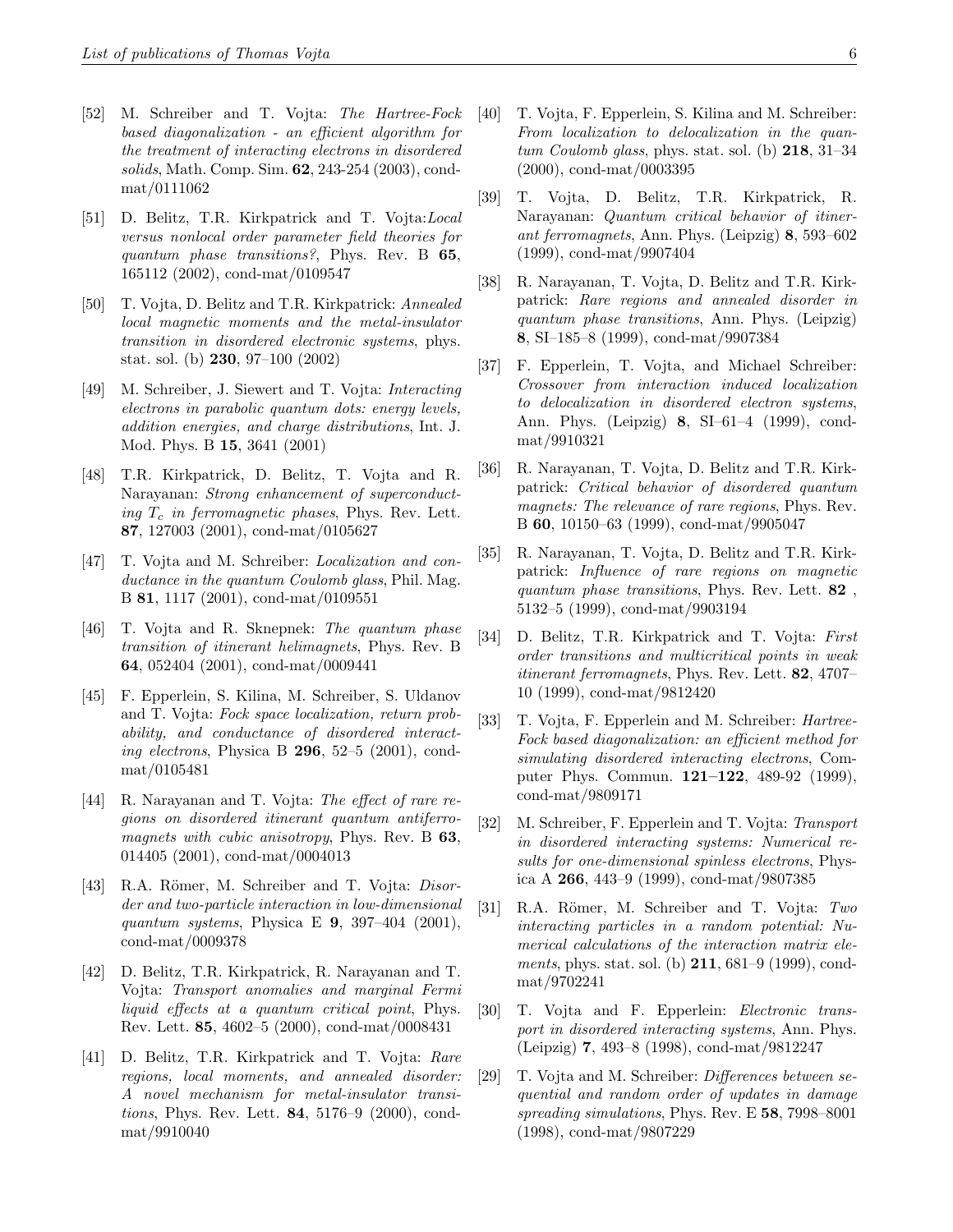- [52] M. Schreiber and T. Vojta: The Hartree-Fock based diagonalization - an efficient algorithm for the treatment of interacting electrons in disordered solids, Math. Comp. Sim. 62, 243-254 (2003), condmat/0111062
- [51] D. Belitz, T.R. Kirkpatrick and T. Vojta:Local versus nonlocal order parameter field theories for quantum phase transitions?, Phys. Rev. B 65, 165112 (2002), cond-mat/0109547
- [50] T. Vojta, D. Belitz and T.R. Kirkpatrick: Annealed local magnetic moments and the metal-insulator transition in disordered electronic systems, phys. stat. sol. (b) 230, 97–100 (2002)
- [49] M. Schreiber, J. Siewert and T. Vojta: Interacting electrons in parabolic quantum dots: energy levels, addition energies, and charge distributions, Int. J. Mod. Phys. B 15, 3641 (2001)
- [48] T.R. Kirkpatrick, D. Belitz, T. Vojta and R. Narayanan: Strong enhancement of superconducting  $T_c$  in ferromagnetic phases, Phys. Rev. Lett. 87, 127003 (2001), cond-mat/0105627
- [47] T. Vojta and M. Schreiber: *Localization and con*ductance in the quantum Coulomb glass, Phil. Mag. B 81, 1117 (2001), cond-mat/0109551
- [46] T. Vojta and R. Sknepnek: The quantum phase transition of itinerant helimagnets, Phys. Rev. B 64, 052404 (2001), cond-mat/0009441
- [45] F. Epperlein, S. Kilina, M. Schreiber, S. Uldanov and T. Vojta: Fock space localization, return probability, and conductance of disordered interacting electrons, Physica B  $296$ , 52–5 (2001), condmat/0105481
- [44] R. Narayanan and T. Vojta: The effect of rare regions on disordered itinerant quantum antiferromagnets with cubic anisotropy, Phys. Rev. B 63, 014405 (2001), cond-mat/0004013
- [43] R.A. Römer, M. Schreiber and T. Vojta: *Disor*der and two-particle interaction in low-dimensional quantum systems, Physica E  $9, 397-404$  (2001), cond-mat/0009378
- [42] D. Belitz, T.R. Kirkpatrick, R. Narayanan and T. Vojta: Transport anomalies and marginal Fermi liquid effects at a quantum critical point, Phys. Rev. Lett. 85, 4602–5 (2000), cond-mat/0008431
- [41] D. Belitz, T.R. Kirkpatrick and T. Vojta: Rare regions, local moments, and annealed disorder: A novel mechanism for metal-insulator transitions, Phys. Rev. Lett. 84, 5176–9 (2000), condmat/9910040
- [40] T. Vojta, F. Epperlein, S. Kilina and M. Schreiber: From localization to delocalization in the quantum Coulomb glass, phys. stat. sol. (b)  $218$ ,  $31-34$ (2000), cond-mat/0003395
- [39] T. Vojta, D. Belitz, T.R. Kirkpatrick, R. Narayanan: Quantum critical behavior of itinerant ferromagnets, Ann. Phys. (Leipzig) 8, 593–602 (1999), cond-mat/9907404
- [38] R. Narayanan, T. Vojta, D. Belitz and T.R. Kirkpatrick: Rare regions and annealed disorder in quantum phase transitions, Ann. Phys. (Leipzig) 8, SI–185–8 (1999), cond-mat/9907384
- [37] F. Epperlein, T. Vojta, and Michael Schreiber: Crossover from interaction induced localization to delocalization in disordered electron systems, Ann. Phys. (Leipzig) 8, SI–61–4 (1999), condmat/9910321
- [36] R. Narayanan, T. Vojta, D. Belitz and T.R. Kirkpatrick: Critical behavior of disordered quantum magnets: The relevance of rare regions, Phys. Rev. B 60, 10150–63 (1999), cond-mat/9905047
- [35] R. Narayanan, T. Vojta, D. Belitz and T.R. Kirkpatrick: Influence of rare regions on magnetic quantum phase transitions, Phys. Rev. Lett. 82 , 5132–5 (1999), cond-mat/9903194
- [34] D. Belitz, T.R. Kirkpatrick and T. Vojta: First order transitions and multicritical points in weak itinerant ferromagnets, Phys. Rev. Lett. 82, 4707– 10 (1999), cond-mat/9812420
- [33] T. Vojta, F. Epperlein and M. Schreiber: *Hartree*-Fock based diagonalization: an efficient method for simulating disordered interacting electrons, Computer Phys. Commun. 121–122, 489-92 (1999), cond-mat/9809171
- [32] M. Schreiber, F. Epperlein and T. Vojta: Transport in disordered interacting systems: Numerical results for one-dimensional spinless electrons, Physica A 266, 443–9 (1999), cond-mat/9807385
- [31] R.A. Römer, M. Schreiber and T. Vojta: Two interacting particles in a random potential: Numerical calculations of the interaction matrix elements, phys. stat. sol. (b) 211, 681–9 (1999), condmat/9702241
- [30] T. Vojta and F. Epperlein: Electronic transport in disordered interacting systems, Ann. Phys. (Leipzig) 7, 493–8 (1998), cond-mat/9812247
- [29] T. Vojta and M. Schreiber: *Differences between se*quential and random order of updates in damage spreading simulations, Phys. Rev. E 58, 7998-8001 (1998), cond-mat/9807229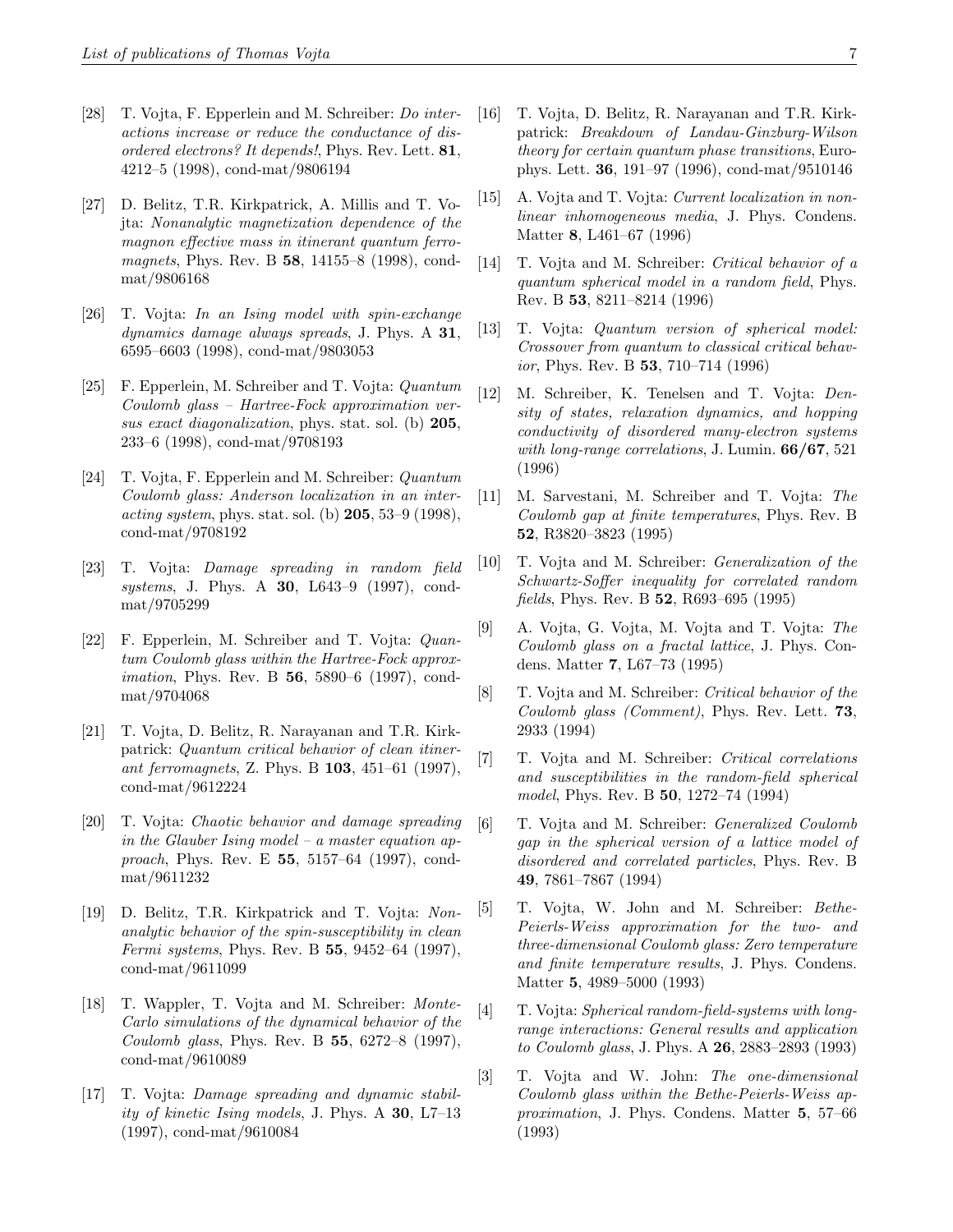- [28] T. Vojta, F. Epperlein and M. Schreiber: Do interactions increase or reduce the conductance of disordered electrons? It depends!, Phys. Rev. Lett. 81, 4212–5 (1998), cond-mat/9806194
- [27] D. Belitz, T.R. Kirkpatrick, A. Millis and T. Vojta: Nonanalytic magnetization dependence of the magnon effective mass in itinerant quantum ferromagnets, Phys. Rev. B 58, 14155–8 (1998), condmat/9806168
- [26] T. Vojta: In an Ising model with spin-exchange dynamics damage always spreads, J. Phys. A 31, 6595–6603 (1998), cond-mat/9803053
- [25] F. Epperlein, M. Schreiber and T. Vojta: Quantum Coulomb glass – Hartree-Fock approximation versus exact diagonalization, phys. stat. sol. (b) 205, 233–6 (1998), cond-mat/9708193
- [24] T. Vojta, F. Epperlein and M. Schreiber: Quantum Coulomb glass: Anderson localization in an inter*acting system, phys.* stat. sol. (b)  $205, 53-9$  (1998), cond-mat/9708192
- [23] T. Vojta: Damage spreading in random field systems, J. Phys. A **30**, L643–9 (1997), condmat/9705299
- [22] F. Epperlein, M. Schreiber and T. Vojta: Quantum Coulomb glass within the Hartree-Fock approx*imation*, Phys. Rev. B **56**, 5890–6 (1997), condmat/9704068
- [21] T. Vojta, D. Belitz, R. Narayanan and T.R. Kirkpatrick: Quantum critical behavior of clean itinerant ferromagnets, Z. Phys. B 103, 451–61 (1997), cond-mat/9612224
- [20] T. Vojta: Chaotic behavior and damage spreading in the Glauber Ising model – a master equation approach, Phys. Rev. E 55, 5157–64 (1997), condmat/9611232
- [19] D. Belitz, T.R. Kirkpatrick and T. Vojta: Nonanalytic behavior of the spin-susceptibility in clean Fermi systems, Phys. Rev. B 55, 9452–64 (1997), cond-mat/9611099
- [18] T. Wappler, T. Vojta and M. Schreiber: Monte-Carlo simulations of the dynamical behavior of the Coulomb glass, Phys. Rev. B 55, 6272–8 (1997), cond-mat/9610089
- [17] T. Vojta: Damage spreading and dynamic stability of kinetic Ising models, J. Phys. A 30, L7–13 (1997), cond-mat/9610084
- [16] T. Vojta, D. Belitz, R. Narayanan and T.R. Kirkpatrick: Breakdown of Landau-Ginzburg-Wilson theory for certain quantum phase transitions, Europhys. Lett. 36, 191–97 (1996), cond-mat/9510146
- [15] A. Vojta and T. Vojta: *Current localization in non*linear inhomogeneous media, J. Phys. Condens. Matter 8, L461–67 (1996)
- [14] T. Vojta and M. Schreiber: Critical behavior of a quantum spherical model in a random field, Phys. Rev. B 53, 8211–8214 (1996)
- [13] T. Vojta: Quantum version of spherical model: Crossover from quantum to classical critical behavior, Phys. Rev. B 53, 710–714 (1996)
- [12] M. Schreiber, K. Tenelsen and T. Vojta: Density of states, relaxation dynamics, and hopping conductivity of disordered many-electron systems with long-range correlations, J. Lumin. **66/67**, 521 (1996)
- [11] M. Sarvestani, M. Schreiber and T. Vojta: The Coulomb gap at finite temperatures, Phys. Rev. B 52, R3820–3823 (1995)
- [10] T. Vojta and M. Schreiber: Generalization of the Schwartz-Soffer inequality for correlated random fields, Phys. Rev. B 52, R693–695 (1995)
- [9] A. Vojta, G. Vojta, M. Vojta and T. Vojta: The Coulomb glass on a fractal lattice, J. Phys. Condens. Matter 7, L67–73 (1995)
- [8] T. Vojta and M. Schreiber: Critical behavior of the Coulomb glass (Comment), Phys. Rev. Lett. 73, 2933 (1994)
- [7] T. Vojta and M. Schreiber: Critical correlations and susceptibilities in the random-field spherical model, Phys. Rev. B 50, 1272–74 (1994)
- [6] T. Vojta and M. Schreiber: Generalized Coulomb gap in the spherical version of a lattice model of disordered and correlated particles, Phys. Rev. B 49, 7861–7867 (1994)
- [5] T. Vojta, W. John and M. Schreiber: Bethe-Peierls-Weiss approximation for the two- and three-dimensional Coulomb glass: Zero temperature and finite temperature results, J. Phys. Condens. Matter 5, 4989–5000 (1993)
- [4] T. Vojta: Spherical random-field-systems with longrange interactions: General results and application to Coulomb glass, J. Phys. A 26, 2883–2893 (1993)
- [3] T. Vojta and W. John: The one-dimensional Coulomb glass within the Bethe-Peierls-Weiss approximation, J. Phys. Condens. Matter 5, 57–66 (1993)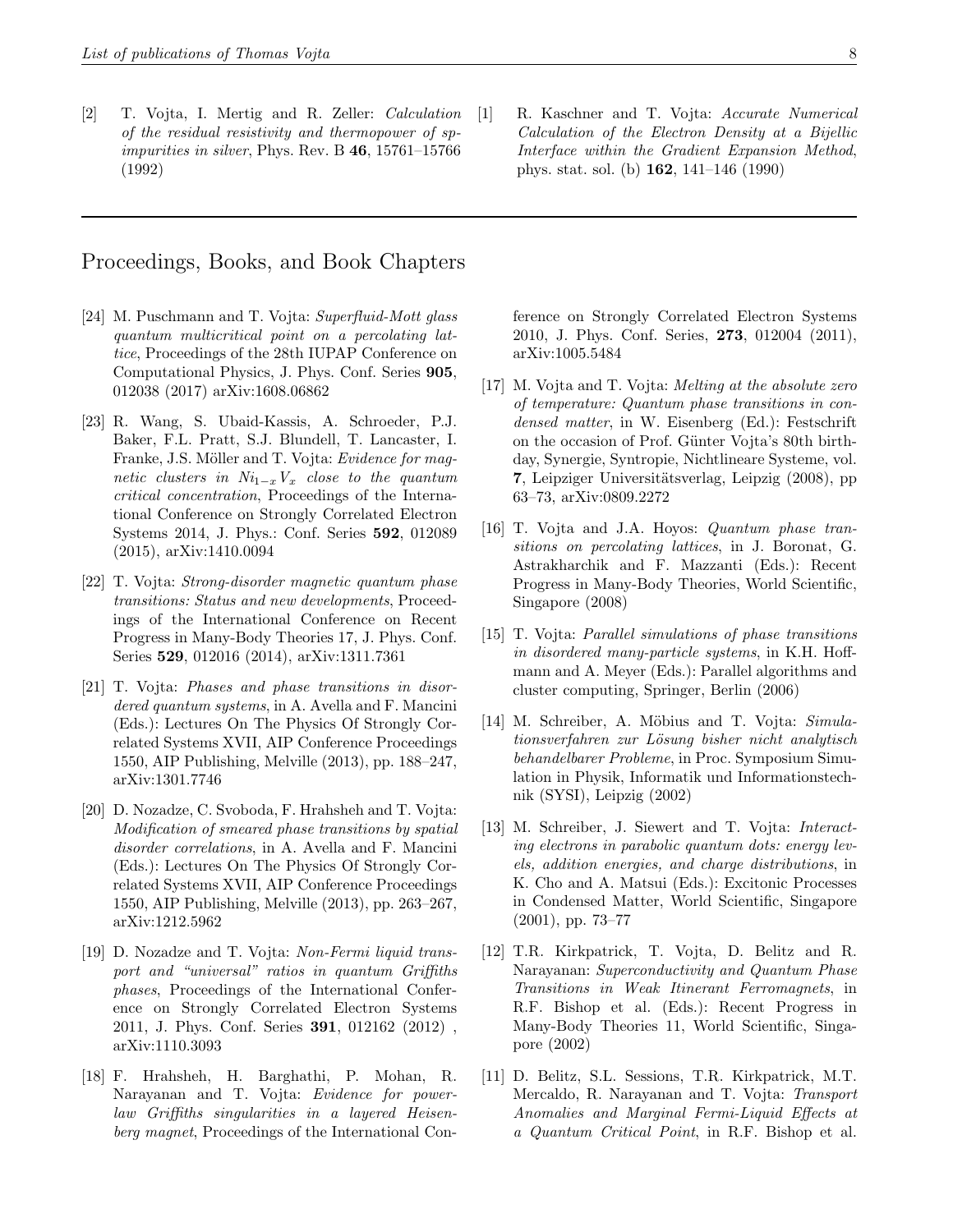[2] T. Vojta, I. Mertig and R. Zeller: Calculation of the residual resistivity and thermopower of spimpurities in silver, Phys. Rev. B 46, 15761–15766 (1992)

### Proceedings, Books, and Book Chapters

- [24] M. Puschmann and T. Vojta: Superfluid-Mott glass quantum multicritical point on a percolating lattice, Proceedings of the 28th IUPAP Conference on Computational Physics, J. Phys. Conf. Series 905, 012038 (2017) arXiv:1608.06862
- [23] R. Wang, S. Ubaid-Kassis, A. Schroeder, P.J. Baker, F.L. Pratt, S.J. Blundell, T. Lancaster, I. Franke, J.S. Möller and T. Vojta: Evidence for magnetic clusters in  $Ni_{1-x}V_x$  close to the quantum critical concentration, Proceedings of the International Conference on Strongly Correlated Electron Systems 2014, J. Phys.: Conf. Series 592, 012089 (2015), arXiv:1410.0094
- [22] T. Vojta: Strong-disorder magnetic quantum phase transitions: Status and new developments, Proceedings of the International Conference on Recent Progress in Many-Body Theories 17, J. Phys. Conf. Series 529, 012016 (2014), arXiv:1311.7361
- [21] T. Vojta: Phases and phase transitions in disordered quantum systems, in A. Avella and F. Mancini (Eds.): Lectures On The Physics Of Strongly Correlated Systems XVII, AIP Conference Proceedings 1550, AIP Publishing, Melville (2013), pp. 188–247, arXiv:1301.7746
- [20] D. Nozadze, C. Svoboda, F. Hrahsheh and T. Vojta: Modification of smeared phase transitions by spatial disorder correlations, in A. Avella and F. Mancini (Eds.): Lectures On The Physics Of Strongly Correlated Systems XVII, AIP Conference Proceedings 1550, AIP Publishing, Melville (2013), pp. 263–267, arXiv:1212.5962
- [19] D. Nozadze and T. Vojta: Non-Fermi liquid transport and "universal" ratios in quantum Griffiths phases, Proceedings of the International Conference on Strongly Correlated Electron Systems 2011, J. Phys. Conf. Series 391, 012162 (2012) , arXiv:1110.3093
- [18] F. Hrahsheh, H. Barghathi, P. Mohan, R. Narayanan and T. Vojta: Evidence for powerlaw Griffiths singularities in a layered Heisenberg magnet, Proceedings of the International Con-

ference on Strongly Correlated Electron Systems 2010, J. Phys. Conf. Series, 273, 012004 (2011), arXiv:1005.5484

- [17] M. Vojta and T. Vojta: Melting at the absolute zero of temperature: Quantum phase transitions in condensed matter, in W. Eisenberg (Ed.): Festschrift on the occasion of Prof. Günter Vojta's 80th birthday, Synergie, Syntropie, Nichtlineare Systeme, vol. 7, Leipziger Universitätsverlag, Leipzig (2008), pp 63–73, arXiv:0809.2272
- [16] T. Vojta and J.A. Hoyos: *Quantum phase tran*sitions on percolating lattices, in J. Boronat, G. Astrakharchik and F. Mazzanti (Eds.): Recent Progress in Many-Body Theories, World Scientific, Singapore (2008)
- [15] T. Vojta: Parallel simulations of phase transitions in disordered many-particle systems, in K.H. Hoffmann and A. Meyer (Eds.): Parallel algorithms and cluster computing, Springer, Berlin (2006)
- [14] M. Schreiber, A. Möbius and T. Vojta: Simulationsverfahren zur Lösung bisher nicht analytisch behandelbarer Probleme, in Proc. Symposium Simulation in Physik, Informatik und Informationstechnik (SYSI), Leipzig (2002)
- [13] M. Schreiber, J. Siewert and T. Vojta: Interacting electrons in parabolic quantum dots: energy levels, addition energies, and charge distributions, in K. Cho and A. Matsui (Eds.): Excitonic Processes in Condensed Matter, World Scientific, Singapore (2001), pp. 73–77
- [12] T.R. Kirkpatrick, T. Vojta, D. Belitz and R. Narayanan: Superconductivity and Quantum Phase Transitions in Weak Itinerant Ferromagnets, in R.F. Bishop et al. (Eds.): Recent Progress in Many-Body Theories 11, World Scientific, Singapore (2002)
- [11] D. Belitz, S.L. Sessions, T.R. Kirkpatrick, M.T. Mercaldo, R. Narayanan and T. Vojta: Transport Anomalies and Marginal Fermi-Liquid Effects at a Quantum Critical Point, in R.F. Bishop et al.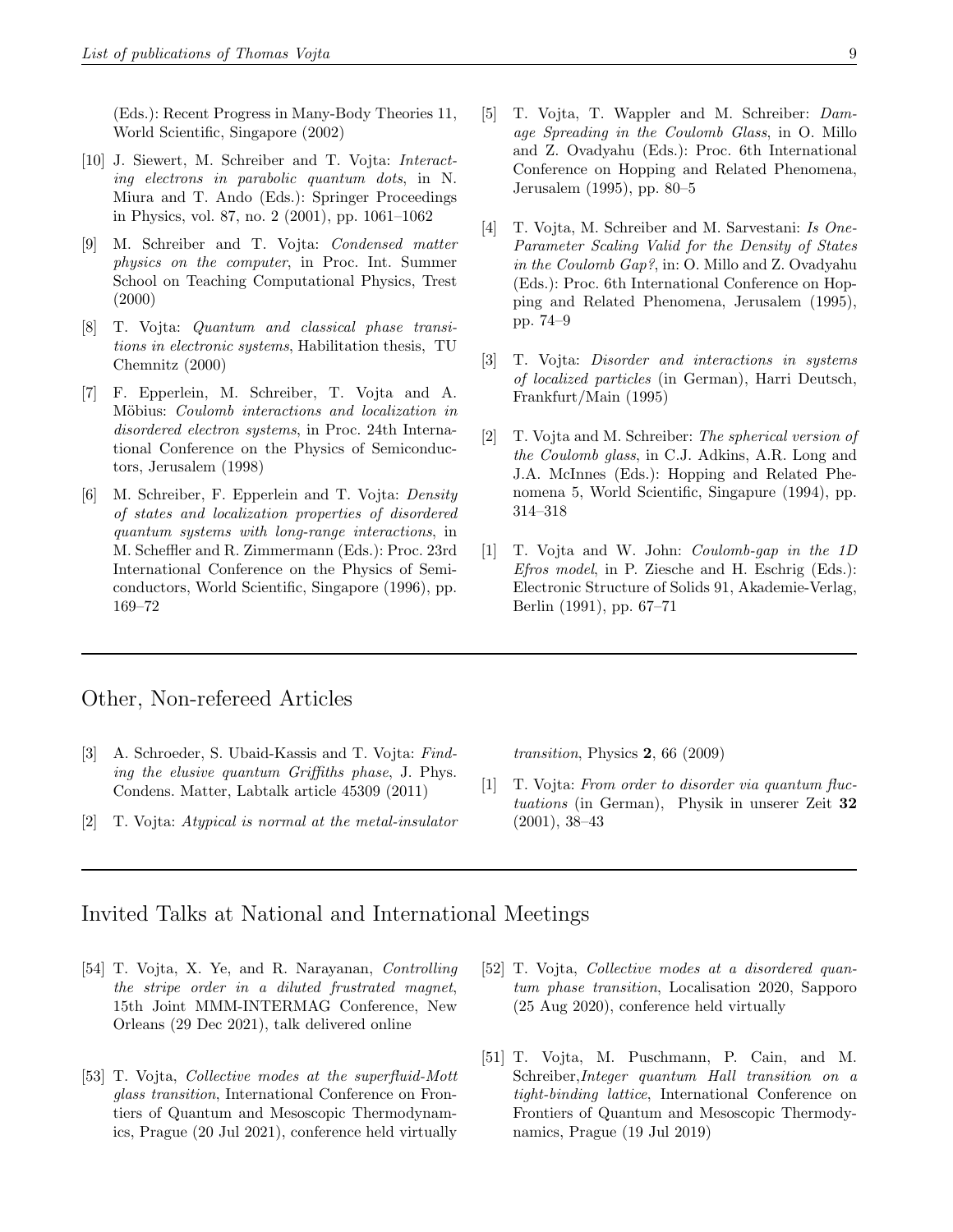(Eds.): Recent Progress in Many-Body Theories 11, World Scientific, Singapore (2002)

- [10] J. Siewert, M. Schreiber and T. Vojta: Interacting electrons in parabolic quantum dots, in N. Miura and T. Ando (Eds.): Springer Proceedings in Physics, vol. 87, no. 2 (2001), pp. 1061–1062
- [9] M. Schreiber and T. Vojta: Condensed matter physics on the computer, in Proc. Int. Summer School on Teaching Computational Physics, Trest (2000)
- [8] T. Vojta: Quantum and classical phase transitions in electronic systems, Habilitation thesis, TU Chemnitz (2000)
- [7] F. Epperlein, M. Schreiber, T. Vojta and A. Möbius: Coulomb interactions and localization in disordered electron systems, in Proc. 24th International Conference on the Physics of Semiconductors, Jerusalem (1998)
- [6] M. Schreiber, F. Epperlein and T. Vojta: Density of states and localization properties of disordered quantum systems with long-range interactions, in M. Scheffler and R. Zimmermann (Eds.): Proc. 23rd International Conference on the Physics of Semiconductors, World Scientific, Singapore (1996), pp. 169–72
- [5] T. Vojta, T. Wappler and M. Schreiber: Damage Spreading in the Coulomb Glass, in O. Millo and Z. Ovadyahu (Eds.): Proc. 6th International Conference on Hopping and Related Phenomena, Jerusalem (1995), pp. 80–5
- [4] T. Vojta, M. Schreiber and M. Sarvestani: Is One-Parameter Scaling Valid for the Density of States in the Coulomb Gap?, in: O. Millo and Z. Ovadyahu (Eds.): Proc. 6th International Conference on Hopping and Related Phenomena, Jerusalem (1995), pp. 74–9
- [3] T. Vojta: Disorder and interactions in systems of localized particles (in German), Harri Deutsch, Frankfurt/Main (1995)
- [2] T. Vojta and M. Schreiber: The spherical version of the Coulomb glass, in C.J. Adkins, A.R. Long and J.A. McInnes (Eds.): Hopping and Related Phenomena 5, World Scientific, Singapure (1994), pp. 314–318
- [1] T. Vojta and W. John: Coulomb-gap in the 1D Efros model, in P. Ziesche and H. Eschrig (Eds.): Electronic Structure of Solids 91, Akademie-Verlag, Berlin (1991), pp. 67–71

#### Other, Non-refereed Articles

- [3] A. Schroeder, S. Ubaid-Kassis and T. Vojta: Finding the elusive quantum Griffiths phase, J. Phys. Condens. Matter, Labtalk article 45309 (2011)
- [2] T. Vojta: Atypical is normal at the metal-insulator

transition, Physics  $2, 66$  (2009)

[1] T. Vojta: From order to disorder via quantum fluctuations (in German), Physik in unserer Zeit 32 (2001), 38–43

### Invited Talks at National and International Meetings

- [54] T. Vojta, X. Ye, and R. Narayanan, Controlling the stripe order in a diluted frustrated magnet, 15th Joint MMM-INTERMAG Conference, New Orleans (29 Dec 2021), talk delivered online
- [53] T. Vojta, Collective modes at the superfluid-Mott glass transition, International Conference on Frontiers of Quantum and Mesoscopic Thermodynamics, Prague (20 Jul 2021), conference held virtually
- [52] T. Vojta, Collective modes at a disordered quantum phase transition, Localisation 2020, Sapporo (25 Aug 2020), conference held virtually
- [51] T. Vojta, M. Puschmann, P. Cain, and M. Schreiber,Integer quantum Hall transition on a tight-binding lattice, International Conference on Frontiers of Quantum and Mesoscopic Thermodynamics, Prague (19 Jul 2019)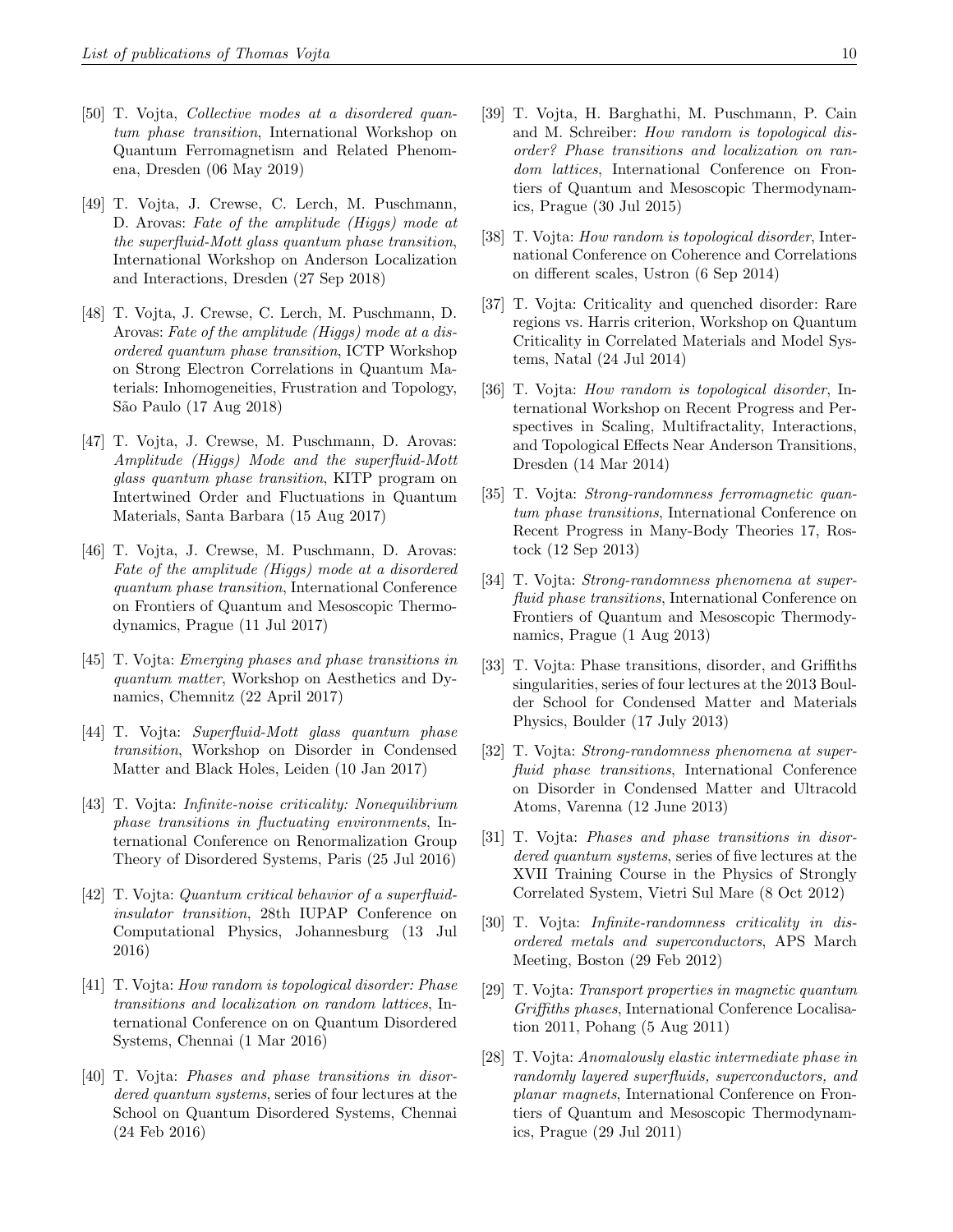- [50] T. Vojta, Collective modes at a disordered quantum phase transition, International Workshop on Quantum Ferromagnetism and Related Phenomena, Dresden (06 May 2019)
- [49] T. Vojta, J. Crewse, C. Lerch, M. Puschmann, D. Arovas: Fate of the amplitude (Higgs) mode at the superfluid-Mott glass quantum phase transition, International Workshop on Anderson Localization and Interactions, Dresden (27 Sep 2018)
- [48] T. Vojta, J. Crewse, C. Lerch, M. Puschmann, D. Arovas: Fate of the amplitude (Higgs) mode at a disordered quantum phase transition, ICTP Workshop on Strong Electron Correlations in Quantum Materials: Inhomogeneities, Frustration and Topology, S˜ao Paulo (17 Aug 2018)
- [47] T. Vojta, J. Crewse, M. Puschmann, D. Arovas: Amplitude (Higgs) Mode and the superfluid-Mott glass quantum phase transition, KITP program on Intertwined Order and Fluctuations in Quantum Materials, Santa Barbara (15 Aug 2017)
- [46] T. Vojta, J. Crewse, M. Puschmann, D. Arovas: Fate of the amplitude (Higgs) mode at a disordered quantum phase transition, International Conference on Frontiers of Quantum and Mesoscopic Thermodynamics, Prague (11 Jul 2017)
- [45] T. Vojta: Emerging phases and phase transitions in quantum matter, Workshop on Aesthetics and Dynamics, Chemnitz (22 April 2017)
- [44] T. Vojta: Superfluid-Mott glass quantum phase transition, Workshop on Disorder in Condensed Matter and Black Holes, Leiden (10 Jan 2017)
- [43] T. Vojta: Infinite-noise criticality: Nonequilibrium phase transitions in fluctuating environments, International Conference on Renormalization Group Theory of Disordered Systems, Paris (25 Jul 2016)
- [42] T. Vojta: Quantum critical behavior of a superfluidinsulator transition, 28th IUPAP Conference on Computational Physics, Johannesburg (13 Jul 2016)
- [41] T. Vojta: How random is topological disorder: Phase transitions and localization on random lattices, International Conference on on Quantum Disordered Systems, Chennai (1 Mar 2016)
- [40] T. Vojta: Phases and phase transitions in disordered quantum systems, series of four lectures at the School on Quantum Disordered Systems, Chennai (24 Feb 2016)
- [39] T. Vojta, H. Barghathi, M. Puschmann, P. Cain and M. Schreiber: How random is topological disorder? Phase transitions and localization on random lattices, International Conference on Frontiers of Quantum and Mesoscopic Thermodynamics, Prague (30 Jul 2015)
- [38] T. Vojta: How random is topological disorder, International Conference on Coherence and Correlations on different scales, Ustron (6 Sep 2014)
- [37] T. Vojta: Criticality and quenched disorder: Rare regions vs. Harris criterion, Workshop on Quantum Criticality in Correlated Materials and Model Systems, Natal (24 Jul 2014)
- [36] T. Vojta: How random is topological disorder, International Workshop on Recent Progress and Perspectives in Scaling, Multifractality, Interactions, and Topological Effects Near Anderson Transitions, Dresden (14 Mar 2014)
- [35] T. Vojta: Strong-randomness ferromagnetic quantum phase transitions, International Conference on Recent Progress in Many-Body Theories 17, Rostock (12 Sep 2013)
- [34] T. Vojta: Strong-randomness phenomena at superfluid phase transitions, International Conference on Frontiers of Quantum and Mesoscopic Thermodynamics, Prague (1 Aug 2013)
- [33] T. Vojta: Phase transitions, disorder, and Griffiths singularities, series of four lectures at the 2013 Boulder School for Condensed Matter and Materials Physics, Boulder (17 July 2013)
- [32] T. Vojta: Strong-randomness phenomena at superfluid phase transitions, International Conference on Disorder in Condensed Matter and Ultracold Atoms, Varenna (12 June 2013)
- [31] T. Vojta: Phases and phase transitions in disordered quantum systems, series of five lectures at the XVII Training Course in the Physics of Strongly Correlated System, Vietri Sul Mare (8 Oct 2012)
- [30] T. Vojta: Infinite-randomness criticality in disordered metals and superconductors, APS March Meeting, Boston (29 Feb 2012)
- [29] T. Vojta: Transport properties in magnetic quantum Griffiths phases, International Conference Localisation 2011, Pohang (5 Aug 2011)
- [28] T. Vojta: Anomalously elastic intermediate phase in randomly layered superfluids, superconductors, and planar magnets, International Conference on Frontiers of Quantum and Mesoscopic Thermodynamics, Prague (29 Jul 2011)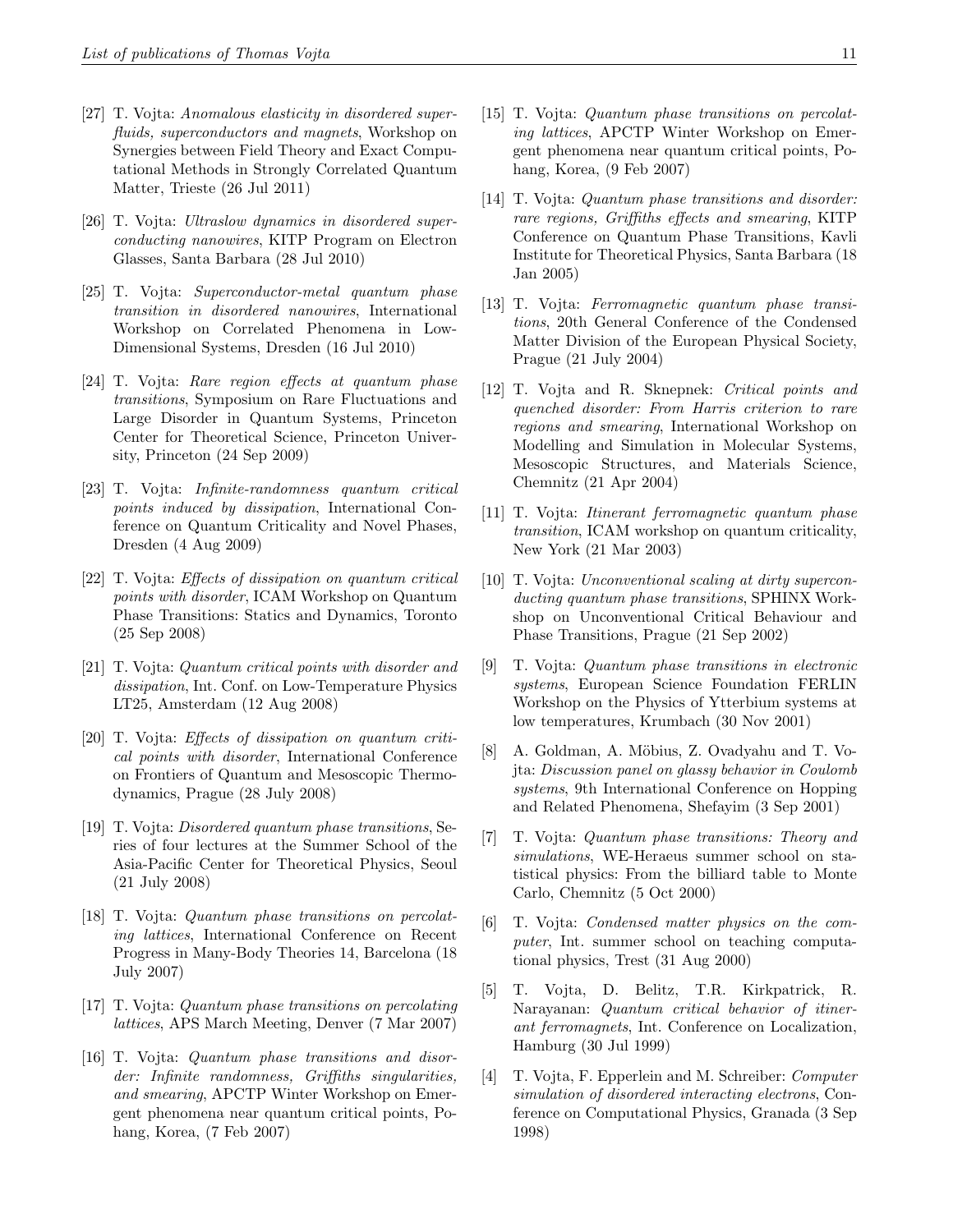- [27] T. Vojta: Anomalous elasticity in disordered superfluids, superconductors and magnets, Workshop on Synergies between Field Theory and Exact Computational Methods in Strongly Correlated Quantum Matter, Trieste (26 Jul 2011)
- [26] T. Vojta: Ultraslow dynamics in disordered superconducting nanowires, KITP Program on Electron Glasses, Santa Barbara (28 Jul 2010)
- [25] T. Vojta: Superconductor-metal quantum phase transition in disordered nanowires, International Workshop on Correlated Phenomena in Low-Dimensional Systems, Dresden (16 Jul 2010)
- [24] T. Vojta: Rare region effects at quantum phase transitions, Symposium on Rare Fluctuations and Large Disorder in Quantum Systems, Princeton Center for Theoretical Science, Princeton University, Princeton (24 Sep 2009)
- [23] T. Vojta: Infinite-randomness quantum critical points induced by dissipation, International Conference on Quantum Criticality and Novel Phases, Dresden (4 Aug 2009)
- [22] T. Vojta: Effects of dissipation on quantum critical points with disorder, ICAM Workshop on Quantum Phase Transitions: Statics and Dynamics, Toronto (25 Sep 2008)
- [21] T. Vojta: Quantum critical points with disorder and dissipation, Int. Conf. on Low-Temperature Physics LT25, Amsterdam (12 Aug 2008)
- [20] T. Vojta: Effects of dissipation on quantum critical points with disorder, International Conference on Frontiers of Quantum and Mesoscopic Thermodynamics, Prague (28 July 2008)
- [19] T. Vojta: Disordered quantum phase transitions, Series of four lectures at the Summer School of the Asia-Pacific Center for Theoretical Physics, Seoul (21 July 2008)
- [18] T. Vojta: Quantum phase transitions on percolating lattices, International Conference on Recent Progress in Many-Body Theories 14, Barcelona (18 July 2007)
- [17] T. Vojta: Quantum phase transitions on percolating lattices, APS March Meeting, Denver (7 Mar 2007)
- [16] T. Vojta: Quantum phase transitions and disorder: Infinite randomness, Griffiths singularities, and smearing, APCTP Winter Workshop on Emergent phenomena near quantum critical points, Pohang, Korea, (7 Feb 2007)
- [15] T. Vojta: Quantum phase transitions on percolating lattices, APCTP Winter Workshop on Emergent phenomena near quantum critical points, Pohang, Korea, (9 Feb 2007)
- [14] T. Vojta: *Quantum phase transitions and disorder*: rare regions, Griffiths effects and smearing, KITP Conference on Quantum Phase Transitions, Kavli Institute for Theoretical Physics, Santa Barbara (18 Jan 2005)
- [13] T. Vojta: Ferromagnetic quantum phase transitions, 20th General Conference of the Condensed Matter Division of the European Physical Society, Prague (21 July 2004)
- [12] T. Vojta and R. Sknepnek: Critical points and quenched disorder: From Harris criterion to rare regions and smearing, International Workshop on Modelling and Simulation in Molecular Systems, Mesoscopic Structures, and Materials Science, Chemnitz (21 Apr 2004)
- [11] T. Vojta: Itinerant ferromagnetic quantum phase transition, ICAM workshop on quantum criticality, New York (21 Mar 2003)
- [10] T. Vojta: Unconventional scaling at dirty superconducting quantum phase transitions, SPHINX Workshop on Unconventional Critical Behaviour and Phase Transitions, Prague (21 Sep 2002)
- [9] T. Vojta: Quantum phase transitions in electronic systems, European Science Foundation FERLIN Workshop on the Physics of Ytterbium systems at low temperatures, Krumbach (30 Nov 2001)
- [8] A. Goldman, A. Möbius, Z. Ovadyahu and T. Vojta: Discussion panel on glassy behavior in Coulomb systems, 9th International Conference on Hopping and Related Phenomena, Shefayim (3 Sep 2001)
- [7] T. Vojta: Quantum phase transitions: Theory and simulations, WE-Heraeus summer school on statistical physics: From the billiard table to Monte Carlo, Chemnitz (5 Oct 2000)
- [6] T. Vojta: Condensed matter physics on the computer, Int. summer school on teaching computational physics, Trest (31 Aug 2000)
- [5] T. Vojta, D. Belitz, T.R. Kirkpatrick, R. Narayanan: Quantum critical behavior of itinerant ferromagnets, Int. Conference on Localization, Hamburg (30 Jul 1999)
- [4] T. Vojta, F. Epperlein and M. Schreiber: Computer simulation of disordered interacting electrons, Conference on Computational Physics, Granada (3 Sep 1998)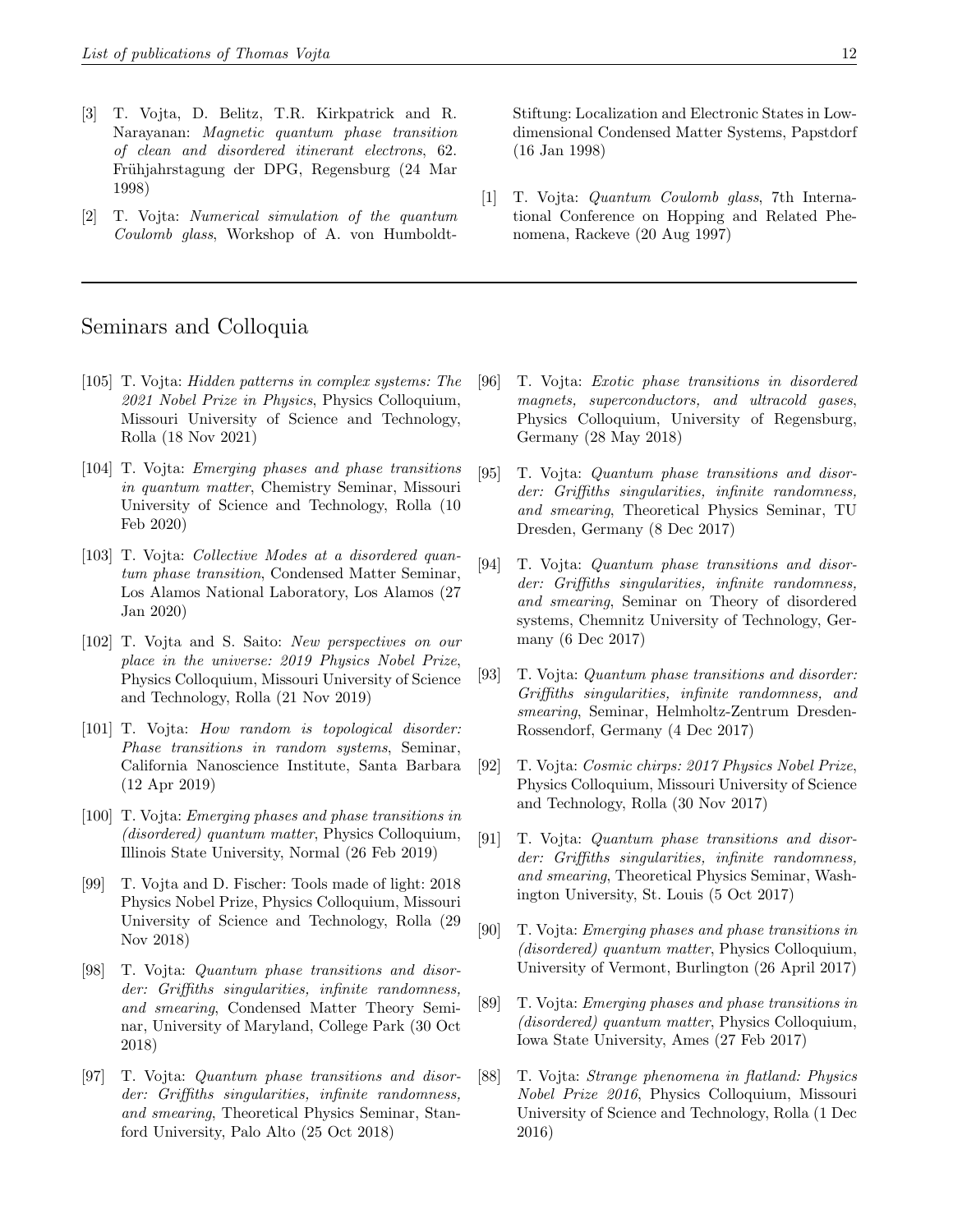- [3] T. Vojta, D. Belitz, T.R. Kirkpatrick and R. Narayanan: Magnetic quantum phase transition of clean and disordered itinerant electrons, 62. Frühjahrstagung der DPG, Regensburg (24 Mar 1998)
- [2] T. Vojta: Numerical simulation of the quantum Coulomb glass, Workshop of A. von Humboldt-

## Seminars and Colloquia

- [105] T. Vojta: Hidden patterns in complex systems: The 2021 Nobel Prize in Physics, Physics Colloquium, Missouri University of Science and Technology, Rolla (18 Nov 2021)
- [104] T. Vojta: Emerging phases and phase transitions in quantum matter, Chemistry Seminar, Missouri University of Science and Technology, Rolla (10 Feb 2020)
- [103] T. Vojta: Collective Modes at a disordered quantum phase transition, Condensed Matter Seminar, Los Alamos National Laboratory, Los Alamos (27 Jan 2020)
- [102] T. Vojta and S. Saito: New perspectives on our place in the universe: 2019 Physics Nobel Prize, Physics Colloquium, Missouri University of Science and Technology, Rolla (21 Nov 2019)
- [101] T. Vojta: How random is topological disorder: Phase transitions in random systems, Seminar, California Nanoscience Institute, Santa Barbara (12 Apr 2019)
- [100] T. Vojta: Emerging phases and phase transitions in (disordered) quantum matter, Physics Colloquium, Illinois State University, Normal (26 Feb 2019)
- [99] T. Vojta and D. Fischer: Tools made of light: 2018 Physics Nobel Prize, Physics Colloquium, Missouri University of Science and Technology, Rolla (29 Nov 2018)
- [98] T. Vojta: Quantum phase transitions and disorder: Griffiths singularities, infinite randomness, and smearing, Condensed Matter Theory Seminar, University of Maryland, College Park (30 Oct 2018)
- [97] T. Vojta: Quantum phase transitions and disorder: Griffiths singularities, infinite randomness, and smearing, Theoretical Physics Seminar, Stanford University, Palo Alto (25 Oct 2018)

Stiftung: Localization and Electronic States in Lowdimensional Condensed Matter Systems, Papstdorf (16 Jan 1998)

[1] T. Vojta: Quantum Coulomb glass, 7th International Conference on Hopping and Related Phenomena, Rackeve (20 Aug 1997)

- [96] T. Vojta: Exotic phase transitions in disordered magnets, superconductors, and ultracold gases, Physics Colloquium, University of Regensburg, Germany (28 May 2018)
- [95] T. Vojta: Quantum phase transitions and disorder: Griffiths singularities, infinite randomness, and smearing, Theoretical Physics Seminar, TU Dresden, Germany (8 Dec 2017)
- [94] T. Vojta: Quantum phase transitions and disorder: Griffiths singularities, infinite randomness, and smearing, Seminar on Theory of disordered systems, Chemnitz University of Technology, Germany (6 Dec 2017)
- [93] T. Vojta: Quantum phase transitions and disorder: Griffiths singularities, infinite randomness, and smearing, Seminar, Helmholtz-Zentrum Dresden-Rossendorf, Germany (4 Dec 2017)
- [92] T. Vojta: Cosmic chirps: 2017 Physics Nobel Prize, Physics Colloquium, Missouri University of Science and Technology, Rolla (30 Nov 2017)
- [91] T. Vojta: Quantum phase transitions and disorder: Griffiths singularities, infinite randomness, and smearing, Theoretical Physics Seminar, Washington University, St. Louis (5 Oct 2017)
- [90] T. Vojta: Emerging phases and phase transitions in (disordered) quantum matter, Physics Colloquium, University of Vermont, Burlington (26 April 2017)
- [89] T. Vojta: Emerging phases and phase transitions in (disordered) quantum matter, Physics Colloquium, Iowa State University, Ames (27 Feb 2017)
- [88] T. Vojta: Strange phenomena in flatland: Physics Nobel Prize 2016, Physics Colloquium, Missouri University of Science and Technology, Rolla (1 Dec 2016)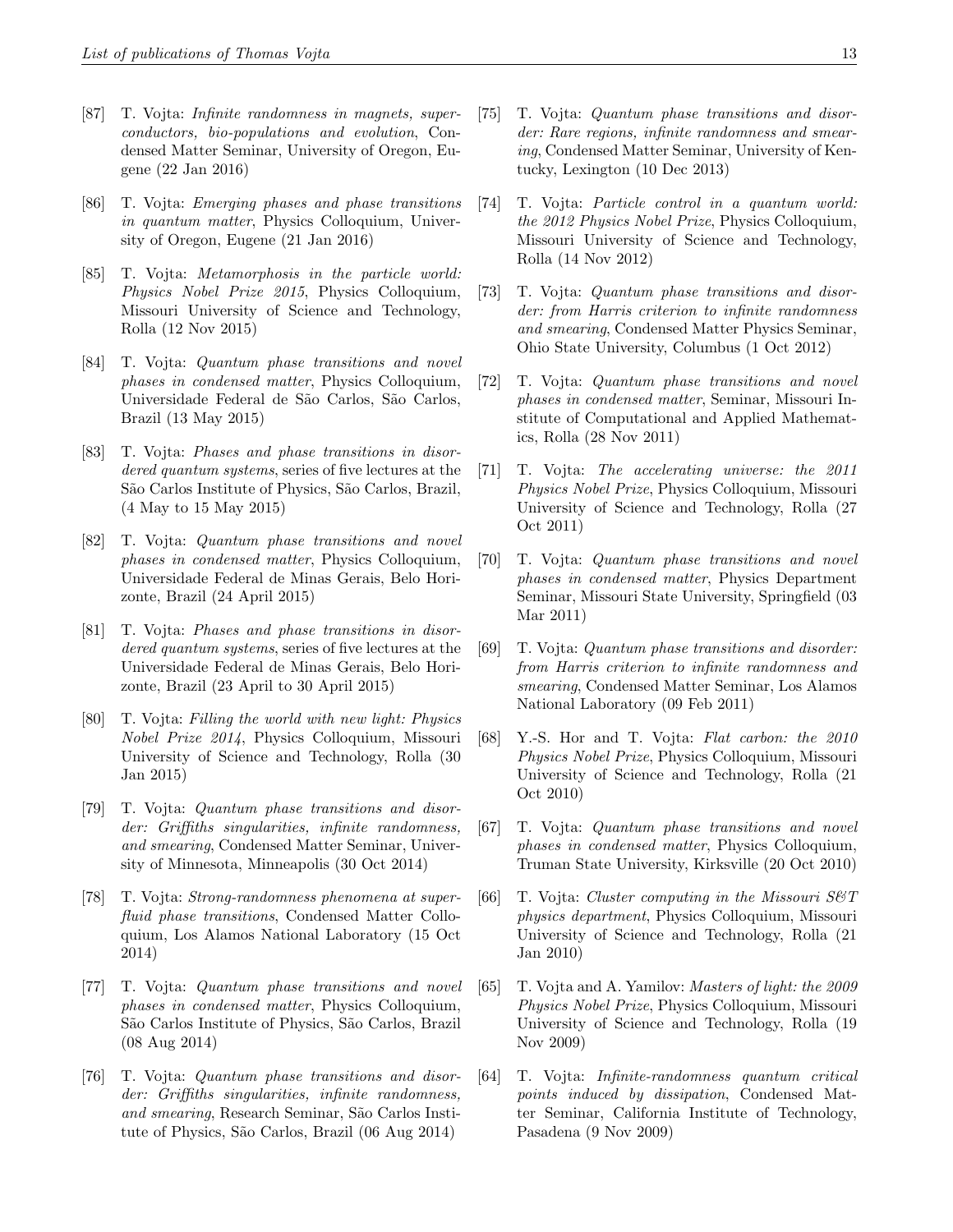- [87] T. Vojta: Infinite randomness in magnets, superconductors, bio-populations and evolution, Condensed Matter Seminar, University of Oregon, Eugene (22 Jan 2016)
- [86] T. Vojta: Emerging phases and phase transitions in quantum matter, Physics Colloquium, University of Oregon, Eugene (21 Jan 2016)
- [85] T. Vojta: Metamorphosis in the particle world: Physics Nobel Prize 2015, Physics Colloquium, Missouri University of Science and Technology, Rolla (12 Nov 2015)
- [84] T. Vojta: Quantum phase transitions and novel phases in condensed matter, Physics Colloquium, Universidade Federal de São Carlos, São Carlos, Brazil (13 May 2015)
- [83] T. Vojta: Phases and phase transitions in disordered quantum systems, series of five lectures at the São Carlos Institute of Physics, São Carlos, Brazil, (4 May to 15 May 2015)
- [82] T. Vojta: Quantum phase transitions and novel phases in condensed matter, Physics Colloquium, Universidade Federal de Minas Gerais, Belo Horizonte, Brazil (24 April 2015)
- [81] T. Vojta: Phases and phase transitions in disordered quantum systems, series of five lectures at the Universidade Federal de Minas Gerais, Belo Horizonte, Brazil (23 April to 30 April 2015)
- [80] T. Vojta: Filling the world with new light: Physics Nobel Prize 2014, Physics Colloquium, Missouri University of Science and Technology, Rolla (30 Jan 2015)
- [79] T. Vojta: Quantum phase transitions and disorder: Griffiths singularities, infinite randomness, and smearing, Condensed Matter Seminar, University of Minnesota, Minneapolis (30 Oct 2014)
- [78] T. Vojta: Strong-randomness phenomena at superfluid phase transitions, Condensed Matter Colloquium, Los Alamos National Laboratory (15 Oct 2014)
- [77] T. Vojta: Quantum phase transitions and novel phases in condensed matter, Physics Colloquium, S˜ao Carlos Institute of Physics, S˜ao Carlos, Brazil (08 Aug 2014)
- [76] T. Vojta: Quantum phase transitions and disorder: Griffiths singularities, infinite randomness, and smearing, Research Seminar, São Carlos Institute of Physics, S˜ao Carlos, Brazil (06 Aug 2014)
- [75] T. Vojta: Quantum phase transitions and disorder: Rare regions, infinite randomness and smearing, Condensed Matter Seminar, University of Kentucky, Lexington (10 Dec 2013)
- [74] T. Vojta: Particle control in a quantum world: the 2012 Physics Nobel Prize, Physics Colloquium, Missouri University of Science and Technology, Rolla (14 Nov 2012)
- [73] T. Vojta: Quantum phase transitions and disorder: from Harris criterion to infinite randomness and smearing, Condensed Matter Physics Seminar, Ohio State University, Columbus (1 Oct 2012)
- [72] T. Vojta: Quantum phase transitions and novel phases in condensed matter, Seminar, Missouri Institute of Computational and Applied Mathematics, Rolla (28 Nov 2011)
- [71] T. Vojta: The accelerating universe: the 2011 Physics Nobel Prize, Physics Colloquium, Missouri University of Science and Technology, Rolla (27 Oct 2011)
- [70] T. Vojta: Quantum phase transitions and novel phases in condensed matter, Physics Department Seminar, Missouri State University, Springfield (03 Mar 2011)
- [69] T. Vojta: Quantum phase transitions and disorder: from Harris criterion to infinite randomness and smearing, Condensed Matter Seminar, Los Alamos National Laboratory (09 Feb 2011)
- [68] Y.-S. Hor and T. Vojta: Flat carbon: the 2010 Physics Nobel Prize, Physics Colloquium, Missouri University of Science and Technology, Rolla (21 Oct 2010)
- [67] T. Vojta: Quantum phase transitions and novel phases in condensed matter, Physics Colloquium, Truman State University, Kirksville (20 Oct 2010)
- [66] T. Vojta: Cluster computing in the Missouri  $S\mathcal{B}T$ physics department, Physics Colloquium, Missouri University of Science and Technology, Rolla (21 Jan 2010)
- [65] T. Vojta and A. Yamilov: Masters of light: the 2009 Physics Nobel Prize, Physics Colloquium, Missouri University of Science and Technology, Rolla (19 Nov 2009)
- [64] T. Vojta: Infinite-randomness quantum critical points induced by dissipation, Condensed Matter Seminar, California Institute of Technology, Pasadena (9 Nov 2009)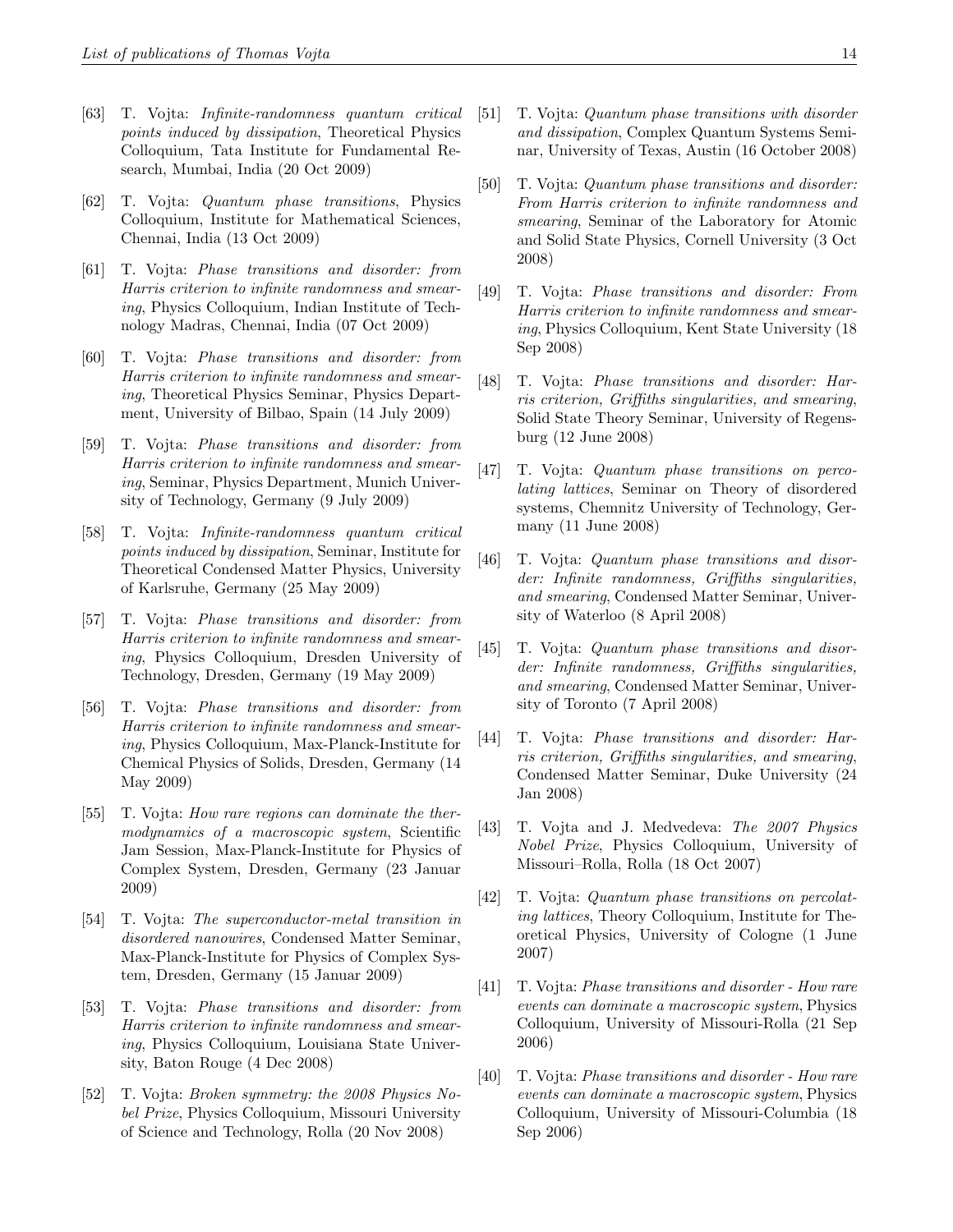- [63] T. Vojta: Infinite-randomness quantum critical points induced by dissipation, Theoretical Physics Colloquium, Tata Institute for Fundamental Research, Mumbai, India (20 Oct 2009)
- [62] T. Vojta: Quantum phase transitions, Physics Colloquium, Institute for Mathematical Sciences, Chennai, India (13 Oct 2009)
- [61] T. Vojta: Phase transitions and disorder: from Harris criterion to infinite randomness and smearing, Physics Colloquium, Indian Institute of Technology Madras, Chennai, India (07 Oct 2009)
- [60] T. Vojta: Phase transitions and disorder: from Harris criterion to infinite randomness and smearing, Theoretical Physics Seminar, Physics Department, University of Bilbao, Spain (14 July 2009)
- [59] T. Vojta: Phase transitions and disorder: from Harris criterion to infinite randomness and smearing, Seminar, Physics Department, Munich University of Technology, Germany (9 July 2009)
- [58] T. Vojta: Infinite-randomness quantum critical points induced by dissipation, Seminar, Institute for Theoretical Condensed Matter Physics, University of Karlsruhe, Germany (25 May 2009)
- [57] T. Vojta: Phase transitions and disorder: from Harris criterion to infinite randomness and smearing, Physics Colloquium, Dresden University of Technology, Dresden, Germany (19 May 2009)
- [56] T. Vojta: Phase transitions and disorder: from Harris criterion to infinite randomness and smearing, Physics Colloquium, Max-Planck-Institute for Chemical Physics of Solids, Dresden, Germany (14 May 2009)
- [55] T. Vojta: How rare regions can dominate the thermodynamics of a macroscopic system, Scientific Jam Session, Max-Planck-Institute for Physics of Complex System, Dresden, Germany (23 Januar 2009)
- [54] T. Vojta: The superconductor-metal transition in disordered nanowires, Condensed Matter Seminar, Max-Planck-Institute for Physics of Complex System, Dresden, Germany (15 Januar 2009)
- [53] T. Vojta: Phase transitions and disorder: from Harris criterion to infinite randomness and smearing, Physics Colloquium, Louisiana State University, Baton Rouge (4 Dec 2008)
- [52] T. Vojta: Broken symmetry: the 2008 Physics Nobel Prize, Physics Colloquium, Missouri University of Science and Technology, Rolla (20 Nov 2008)
- [51] T. Vojta: Quantum phase transitions with disorder and dissipation, Complex Quantum Systems Seminar, University of Texas, Austin (16 October 2008)
- [50] T. Vojta: Quantum phase transitions and disorder: From Harris criterion to infinite randomness and smearing, Seminar of the Laboratory for Atomic and Solid State Physics, Cornell University (3 Oct 2008)
- [49] T. Vojta: Phase transitions and disorder: From Harris criterion to infinite randomness and smearing, Physics Colloquium, Kent State University (18 Sep 2008)
- [48] T. Vojta: Phase transitions and disorder: Harris criterion, Griffiths singularities, and smearing, Solid State Theory Seminar, University of Regensburg (12 June 2008)
- [47] T. Vojta: Quantum phase transitions on percolating lattices, Seminar on Theory of disordered systems, Chemnitz University of Technology, Germany (11 June 2008)
- [46] T. Vojta: Quantum phase transitions and disorder: Infinite randomness, Griffiths singularities, and smearing, Condensed Matter Seminar, University of Waterloo (8 April 2008)
- [45] T. Vojta: Quantum phase transitions and disorder: Infinite randomness, Griffiths singularities, and smearing, Condensed Matter Seminar, University of Toronto (7 April 2008)
- [44] T. Vojta: Phase transitions and disorder: Harris criterion, Griffiths singularities, and smearing, Condensed Matter Seminar, Duke University (24 Jan 2008)
- [43] T. Vojta and J. Medvedeva: The 2007 Physics Nobel Prize, Physics Colloquium, University of Missouri–Rolla, Rolla (18 Oct 2007)
- [42] T. Vojta: Quantum phase transitions on percolating lattices, Theory Colloquium, Institute for Theoretical Physics, University of Cologne (1 June 2007)
- [41] T. Vojta: Phase transitions and disorder How rare events can dominate a macroscopic system, Physics Colloquium, University of Missouri-Rolla (21 Sep 2006)
- [40] T. Vojta: Phase transitions and disorder How rare events can dominate a macroscopic system, Physics Colloquium, University of Missouri-Columbia (18 Sep 2006)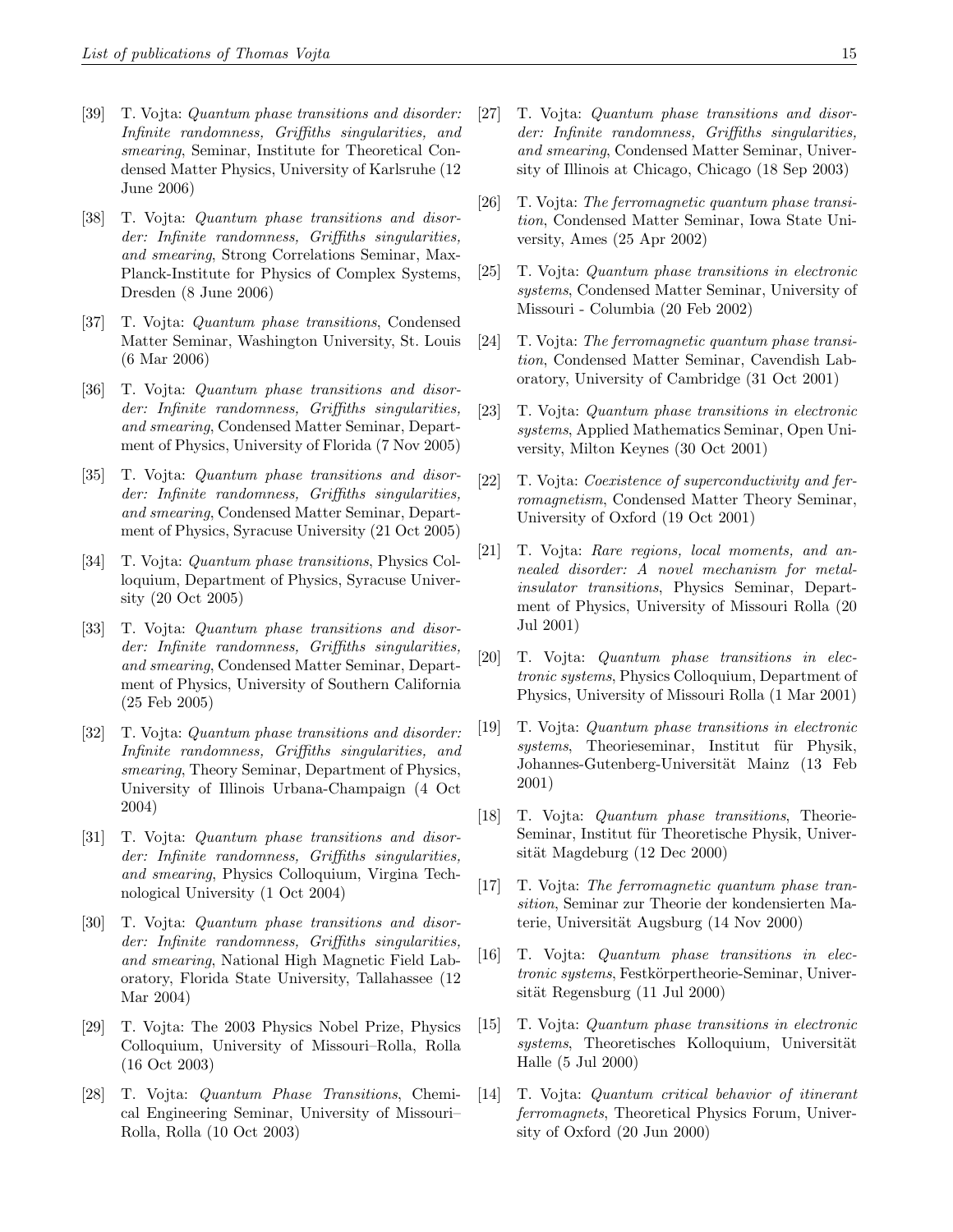- [39] T. Vojta: Quantum phase transitions and disorder: Infinite randomness, Griffiths singularities, and smearing, Seminar, Institute for Theoretical Condensed Matter Physics, University of Karlsruhe (12 June 2006)
- [38] T. Vojta: Quantum phase transitions and disorder: Infinite randomness, Griffiths singularities, and smearing, Strong Correlations Seminar, Max-Planck-Institute for Physics of Complex Systems, Dresden (8 June 2006)
- [37] T. Vojta: Quantum phase transitions, Condensed Matter Seminar, Washington University, St. Louis (6 Mar 2006)
- [36] T. Vojta: Quantum phase transitions and disorder: Infinite randomness, Griffiths singularities, and smearing, Condensed Matter Seminar, Department of Physics, University of Florida (7 Nov 2005)
- [35] T. Vojta: Quantum phase transitions and disorder: Infinite randomness, Griffiths singularities, and smearing, Condensed Matter Seminar, Department of Physics, Syracuse University (21 Oct 2005)
- [34] T. Vojta: Quantum phase transitions, Physics Colloquium, Department of Physics, Syracuse University (20 Oct 2005)
- [33] T. Vojta: Quantum phase transitions and disorder: Infinite randomness, Griffiths singularities, and smearing, Condensed Matter Seminar, Department of Physics, University of Southern California (25 Feb 2005)
- [32] T. Vojta: Quantum phase transitions and disorder: Infinite randomness, Griffiths singularities, and smearing, Theory Seminar, Department of Physics, University of Illinois Urbana-Champaign (4 Oct 2004)
- [31] T. Vojta: Quantum phase transitions and disorder: Infinite randomness, Griffiths singularities, and smearing, Physics Colloquium, Virgina Technological University (1 Oct 2004)
- [30] T. Vojta: Quantum phase transitions and disorder: Infinite randomness, Griffiths singularities, and smearing, National High Magnetic Field Laboratory, Florida State University, Tallahassee (12 Mar 2004)
- [29] T. Vojta: The 2003 Physics Nobel Prize, Physics Colloquium, University of Missouri–Rolla, Rolla (16 Oct 2003)
- [28] T. Vojta: Quantum Phase Transitions, Chemical Engineering Seminar, University of Missouri– Rolla, Rolla (10 Oct 2003)
- [27] T. Vojta: Quantum phase transitions and disorder: Infinite randomness, Griffiths singularities, and smearing, Condensed Matter Seminar, University of Illinois at Chicago, Chicago (18 Sep 2003)
- [26] T. Vojta: The ferromagnetic quantum phase transition, Condensed Matter Seminar, Iowa State University, Ames (25 Apr 2002)
- [25] T. Vojta: Quantum phase transitions in electronic systems, Condensed Matter Seminar, University of Missouri - Columbia (20 Feb 2002)
- [24] T. Vojta: The ferromagnetic quantum phase transition, Condensed Matter Seminar, Cavendish Laboratory, University of Cambridge (31 Oct 2001)
- [23] T. Vojta: Quantum phase transitions in electronic systems, Applied Mathematics Seminar, Open University, Milton Keynes (30 Oct 2001)
- [22] T. Vojta: *Coexistence of superconductivity and fer*romagnetism, Condensed Matter Theory Seminar, University of Oxford (19 Oct 2001)
- [21] T. Vojta: Rare regions, local moments, and annealed disorder: A novel mechanism for metalinsulator transitions, Physics Seminar, Department of Physics, University of Missouri Rolla (20 Jul 2001)
- [20] T. Vojta: Quantum phase transitions in electronic systems, Physics Colloquium, Department of Physics, University of Missouri Rolla (1 Mar 2001)
- [19] T. Vojta: Quantum phase transitions in electronic systems, Theorieseminar, Institut für Physik, Johannes-Gutenberg-Universität Mainz (13 Feb 2001)
- [18] T. Vojta: Quantum phase transitions, Theorie-Seminar, Institut für Theoretische Physik, Universität Magdeburg (12 Dec 2000)
- [17] T. Vojta: The ferromagnetic quantum phase transition, Seminar zur Theorie der kondensierten Materie, Universität Augsburg (14 Nov 2000)
- [16] T. Vojta: Quantum phase transitions in electronic systems, Festkörpertheorie-Seminar, Universität Regensburg (11 Jul 2000)
- [15] T. Vojta: Quantum phase transitions in electronic systems, Theoretisches Kolloquium, Universität Halle (5 Jul 2000)
- [14] T. Vojta: Quantum critical behavior of itinerant ferromagnets, Theoretical Physics Forum, University of Oxford (20 Jun 2000)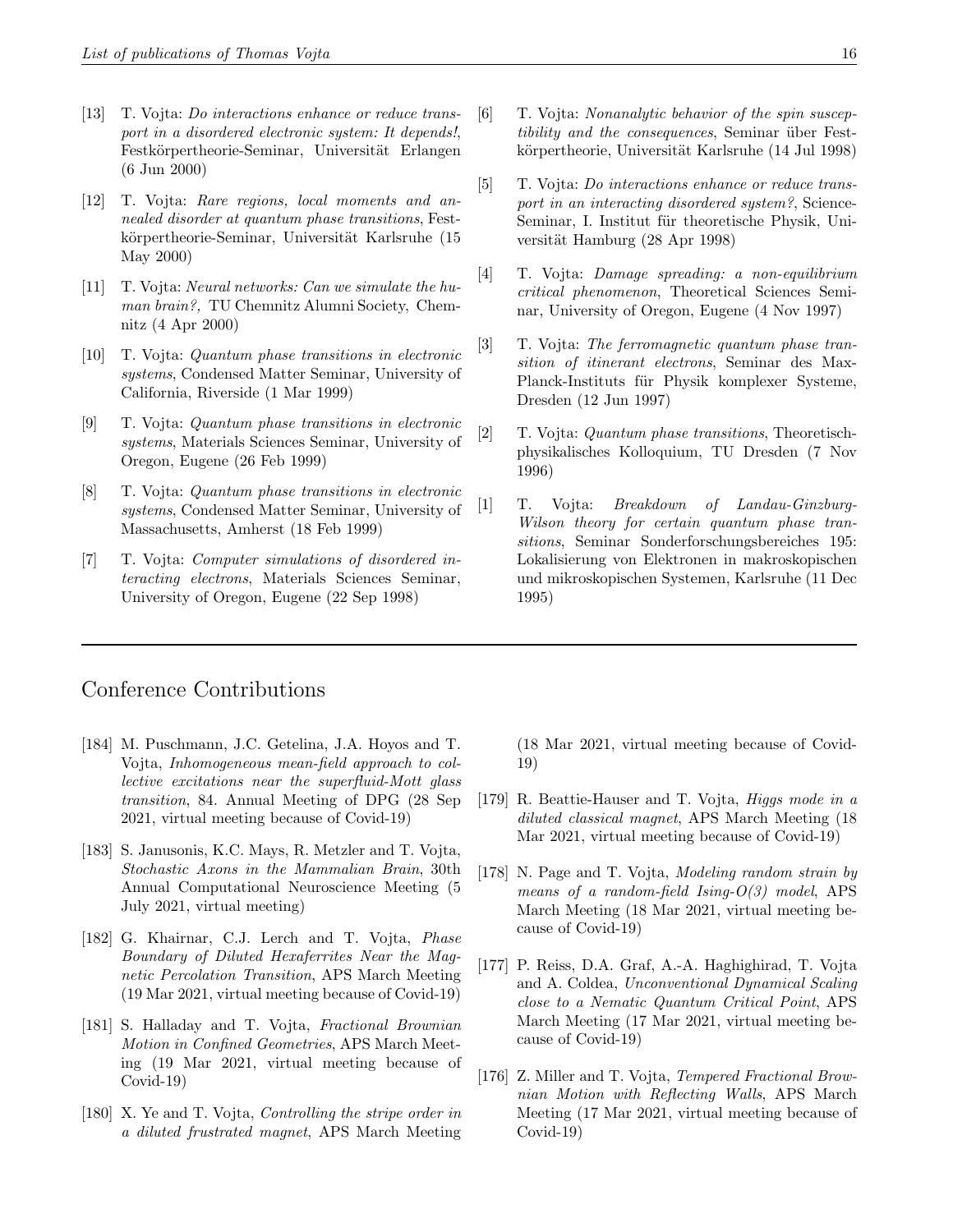- [13] T. Vojta: Do interactions enhance or reduce transport in a disordered electronic system: It depends!, Festkörpertheorie-Seminar, Universität Erlangen (6 Jun 2000)
- [12] T. Vojta: Rare regions, local moments and annealed disorder at quantum phase transitions, Festkörpertheorie-Seminar, Universität Karlsruhe (15 May 2000)
- [11] T. Vojta: Neural networks: Can we simulate the human brain?, TU Chemnitz Alumni Society, Chemnitz (4 Apr 2000)
- [10] T. Vojta: Quantum phase transitions in electronic systems, Condensed Matter Seminar, University of California, Riverside (1 Mar 1999)
- [9] T. Vojta: Quantum phase transitions in electronic systems, Materials Sciences Seminar, University of Oregon, Eugene (26 Feb 1999)
- [8] T. Vojta: Quantum phase transitions in electronic systems, Condensed Matter Seminar, University of Massachusetts, Amherst (18 Feb 1999)
- [7] T. Vojta: *Computer simulations of disordered in*teracting electrons, Materials Sciences Seminar, University of Oregon, Eugene (22 Sep 1998)
- [6] T. Vojta: Nonanalytic behavior of the spin susceptibility and the consequences, Seminar über Festkörpertheorie, Universität Karlsruhe (14 Jul 1998)
- [5] T. Vojta: *Do interactions enhance or reduce trans*port in an interacting disordered system?, Science-Seminar, I. Institut für theoretische Physik, Universität Hamburg (28 Apr 1998)
- [4] T. Vojta: Damage spreading: a non-equilibrium critical phenomenon, Theoretical Sciences Seminar, University of Oregon, Eugene (4 Nov 1997)
- [3] T. Vojta: The ferromagnetic quantum phase transition of itinerant electrons, Seminar des Max-Planck-Instituts für Physik komplexer Systeme, Dresden (12 Jun 1997)
- [2] T. Vojta: Quantum phase transitions, Theoretischphysikalisches Kolloquium, TU Dresden (7 Nov 1996)
- [1] T. Vojta: Breakdown of Landau-Ginzburg-Wilson theory for certain quantum phase transitions, Seminar Sonderforschungsbereiches 195: Lokalisierung von Elektronen in makroskopischen und mikroskopischen Systemen, Karlsruhe (11 Dec 1995)

### Conference Contributions

- [184] M. Puschmann, J.C. Getelina, J.A. Hoyos and T. Vojta, Inhomogeneous mean-field approach to collective excitations near the superfluid-Mott glass transition, 84. Annual Meeting of DPG (28 Sep 2021, virtual meeting because of Covid-19)
- [183] S. Janusonis, K.C. Mays, R. Metzler and T. Vojta, Stochastic Axons in the Mammalian Brain, 30th Annual Computational Neuroscience Meeting (5 July 2021, virtual meeting)
- [182] G. Khairnar, C.J. Lerch and T. Vojta, *Phase* Boundary of Diluted Hexaferrites Near the Magnetic Percolation Transition, APS March Meeting (19 Mar 2021, virtual meeting because of Covid-19)
- [181] S. Halladay and T. Vojta, Fractional Brownian Motion in Confined Geometries, APS March Meeting (19 Mar 2021, virtual meeting because of Covid-19)
- [180] X. Ye and T. Vojta, Controlling the stripe order in a diluted frustrated magnet, APS March Meeting

(18 Mar 2021, virtual meeting because of Covid-19)

- [179] R. Beattie-Hauser and T. Vojta, Higgs mode in a diluted classical magnet, APS March Meeting (18 Mar 2021, virtual meeting because of Covid-19)
- [178] N. Page and T. Vojta, Modeling random strain by means of a random-field Ising- $O(3)$  model, APS March Meeting (18 Mar 2021, virtual meeting because of Covid-19)
- [177] P. Reiss, D.A. Graf, A.-A. Haghighirad, T. Vojta and A. Coldea, Unconventional Dynamical Scaling close to a Nematic Quantum Critical Point, APS March Meeting (17 Mar 2021, virtual meeting because of Covid-19)
- [176] Z. Miller and T. Vojta, Tempered Fractional Brownian Motion with Reflecting Walls, APS March Meeting (17 Mar 2021, virtual meeting because of Covid-19)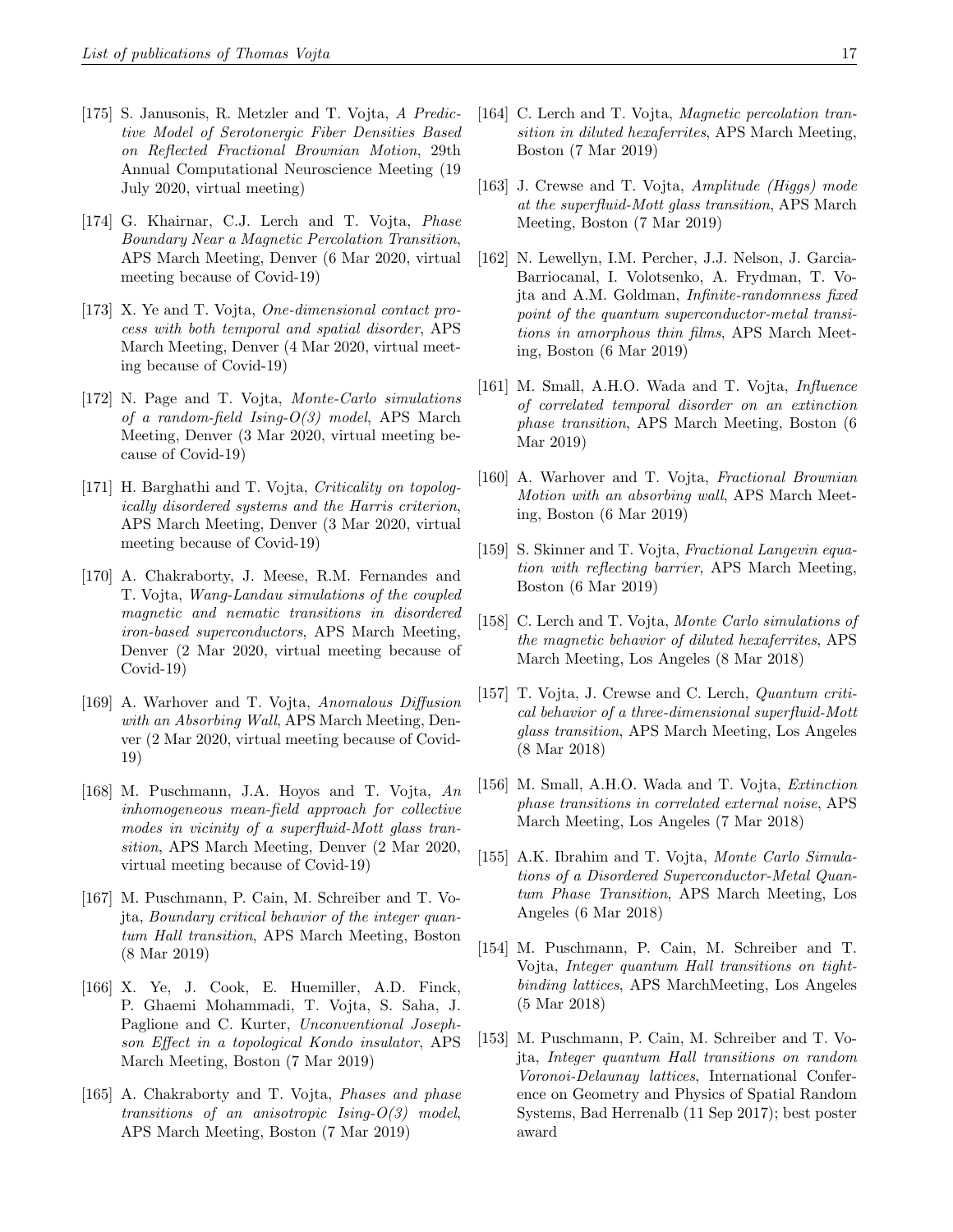- [175] S. Janusonis, R. Metzler and T. Vojta, A Predictive Model of Serotonergic Fiber Densities Based on Reflected Fractional Brownian Motion, 29th Annual Computational Neuroscience Meeting (19 July 2020, virtual meeting)
- [174] G. Khairnar, C.J. Lerch and T. Vojta, *Phase* Boundary Near a Magnetic Percolation Transition, APS March Meeting, Denver (6 Mar 2020, virtual meeting because of Covid-19)
- [173] X. Ye and T. Vojta, One-dimensional contact process with both temporal and spatial disorder, APS March Meeting, Denver (4 Mar 2020, virtual meeting because of Covid-19)
- [172] N. Page and T. Vojta, Monte-Carlo simulations of a random-field Ising- $O(3)$  model, APS March Meeting, Denver (3 Mar 2020, virtual meeting because of Covid-19)
- [171] H. Barghathi and T. Vojta, Criticality on topologically disordered systems and the Harris criterion, APS March Meeting, Denver (3 Mar 2020, virtual meeting because of Covid-19)
- [170] A. Chakraborty, J. Meese, R.M. Fernandes and T. Vojta, Wang-Landau simulations of the coupled magnetic and nematic transitions in disordered iron-based superconductors, APS March Meeting, Denver (2 Mar 2020, virtual meeting because of Covid-19)
- [169] A. Warhover and T. Vojta, Anomalous Diffusion with an Absorbing Wall, APS March Meeting, Denver (2 Mar 2020, virtual meeting because of Covid-19)
- [168] M. Puschmann, J.A. Hoyos and T. Vojta, An inhomogeneous mean-field approach for collective modes in vicinity of a superfluid-Mott glass transition, APS March Meeting, Denver (2 Mar 2020, virtual meeting because of Covid-19)
- [167] M. Puschmann, P. Cain, M. Schreiber and T. Vojta, Boundary critical behavior of the integer quantum Hall transition, APS March Meeting, Boston (8 Mar 2019)
- [166] X. Ye, J. Cook, E. Huemiller, A.D. Finck, P. Ghaemi Mohammadi, T. Vojta, S. Saha, J. Paglione and C. Kurter, Unconventional Josephson Effect in a topological Kondo insulator, APS March Meeting, Boston (7 Mar 2019)
- [165] A. Chakraborty and T. Vojta, *Phases and phase* transitions of an anisotropic Ising- $O(3)$  model, APS March Meeting, Boston (7 Mar 2019)
- [164] C. Lerch and T. Vojta, *Magnetic percolation tran*sition in diluted hexaferrites, APS March Meeting, Boston (7 Mar 2019)
- [163] J. Crewse and T. Vojta, Amplitude (Higgs) mode at the superfluid-Mott glass transition, APS March Meeting, Boston (7 Mar 2019)
- [162] N. Lewellyn, I.M. Percher, J.J. Nelson, J. Garcia-Barriocanal, I. Volotsenko, A. Frydman, T. Vojta and A.M. Goldman, Infinite-randomness fixed point of the quantum superconductor-metal transitions in amorphous thin films, APS March Meeting, Boston (6 Mar 2019)
- [161] M. Small, A.H.O. Wada and T. Vojta, *Influence* of correlated temporal disorder on an extinction phase transition, APS March Meeting, Boston (6 Mar 2019)
- [160] A. Warhover and T. Vojta, Fractional Brownian Motion with an absorbing wall, APS March Meeting, Boston (6 Mar 2019)
- [159] S. Skinner and T. Vojta, Fractional Langevin equation with reflecting barrier, APS March Meeting, Boston (6 Mar 2019)
- [158] C. Lerch and T. Vojta, Monte Carlo simulations of the magnetic behavior of diluted hexaferrites, APS March Meeting, Los Angeles (8 Mar 2018)
- [157] T. Vojta, J. Crewse and C. Lerch, Quantum critical behavior of a three-dimensional superfluid-Mott glass transition, APS March Meeting, Los Angeles (8 Mar 2018)
- [156] M. Small, A.H.O. Wada and T. Vojta, Extinction phase transitions in correlated external noise, APS March Meeting, Los Angeles (7 Mar 2018)
- [155] A.K. Ibrahim and T. Vojta, Monte Carlo Simulations of a Disordered Superconductor-Metal Quantum Phase Transition, APS March Meeting, Los Angeles (6 Mar 2018)
- [154] M. Puschmann, P. Cain, M. Schreiber and T. Vojta, Integer quantum Hall transitions on tightbinding lattices, APS MarchMeeting, Los Angeles (5 Mar 2018)
- [153] M. Puschmann, P. Cain, M. Schreiber and T. Vojta, Integer quantum Hall transitions on random Voronoi-Delaunay lattices, International Conference on Geometry and Physics of Spatial Random Systems, Bad Herrenalb (11 Sep 2017); best poster award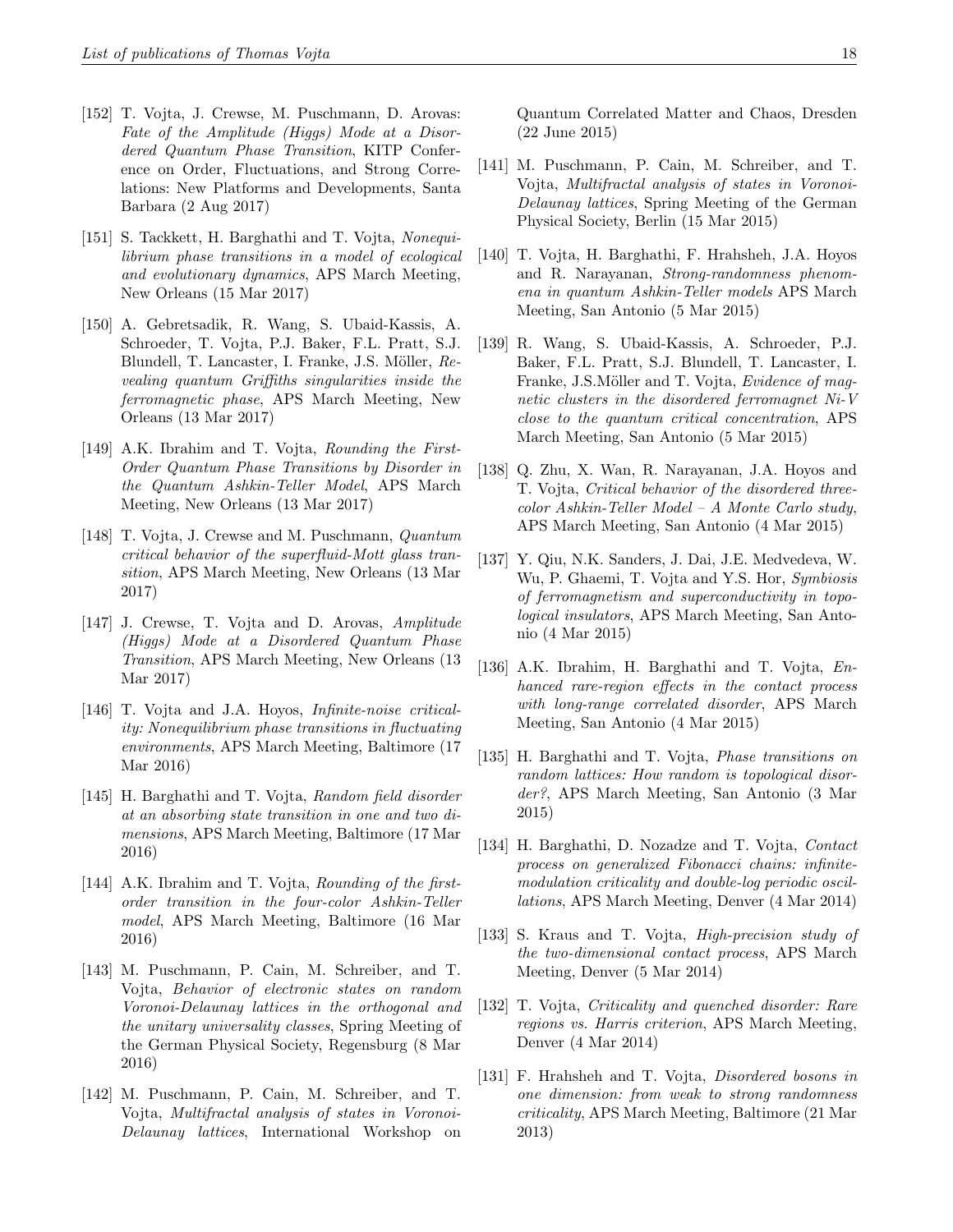- [152] T. Vojta, J. Crewse, M. Puschmann, D. Arovas: Fate of the Amplitude (Higgs) Mode at a Disordered Quantum Phase Transition, KITP Conference on Order, Fluctuations, and Strong Correlations: New Platforms and Developments, Santa Barbara (2 Aug 2017)
- [151] S. Tackkett, H. Barghathi and T. Vojta, Nonequilibrium phase transitions in a model of ecological and evolutionary dynamics, APS March Meeting, New Orleans (15 Mar 2017)
- [150] A. Gebretsadik, R. Wang, S. Ubaid-Kassis, A. Schroeder, T. Vojta, P.J. Baker, F.L. Pratt, S.J. Blundell, T. Lancaster, I. Franke, J.S. Möller, Revealing quantum Griffiths singularities inside the ferromagnetic phase, APS March Meeting, New Orleans (13 Mar 2017)
- [149] A.K. Ibrahim and T. Vojta, Rounding the First-Order Quantum Phase Transitions by Disorder in the Quantum Ashkin-Teller Model, APS March Meeting, New Orleans (13 Mar 2017)
- [148] T. Vojta, J. Crewse and M. Puschmann, Quantum critical behavior of the superfluid-Mott glass transition, APS March Meeting, New Orleans (13 Mar 2017)
- [147] J. Crewse, T. Vojta and D. Arovas, Amplitude (Higgs) Mode at a Disordered Quantum Phase Transition, APS March Meeting, New Orleans (13 Mar 2017)
- [146] T. Vojta and J.A. Hoyos, Infinite-noise criticality: Nonequilibrium phase transitions in fluctuating environments, APS March Meeting, Baltimore (17 Mar 2016)
- [145] H. Barghathi and T. Vojta, Random field disorder at an absorbing state transition in one and two dimensions, APS March Meeting, Baltimore (17 Mar 2016)
- [144] A.K. Ibrahim and T. Vojta, Rounding of the firstorder transition in the four-color Ashkin-Teller model, APS March Meeting, Baltimore (16 Mar 2016)
- [143] M. Puschmann, P. Cain, M. Schreiber, and T. Vojta, Behavior of electronic states on random Voronoi-Delaunay lattices in the orthogonal and the unitary universality classes, Spring Meeting of the German Physical Society, Regensburg (8 Mar 2016)
- [142] M. Puschmann, P. Cain, M. Schreiber, and T. Vojta, Multifractal analysis of states in Voronoi-Delaunay lattices, International Workshop on

Quantum Correlated Matter and Chaos, Dresden (22 June 2015)

- [141] M. Puschmann, P. Cain, M. Schreiber, and T. Vojta, Multifractal analysis of states in Voronoi-Delaunay lattices, Spring Meeting of the German Physical Society, Berlin (15 Mar 2015)
- [140] T. Vojta, H. Barghathi, F. Hrahsheh, J.A. Hoyos and R. Narayanan, Strong-randomness phenomena in quantum Ashkin-Teller models APS March Meeting, San Antonio (5 Mar 2015)
- [139] R. Wang, S. Ubaid-Kassis, A. Schroeder, P.J. Baker, F.L. Pratt, S.J. Blundell, T. Lancaster, I. Franke, J.S.Möller and T. Vojta, Evidence of magnetic clusters in the disordered ferromagnet Ni-V close to the quantum critical concentration, APS March Meeting, San Antonio (5 Mar 2015)
- [138] Q. Zhu, X. Wan, R. Narayanan, J.A. Hoyos and T. Vojta, Critical behavior of the disordered threecolor Ashkin-Teller Model – A Monte Carlo study, APS March Meeting, San Antonio (4 Mar 2015)
- [137] Y. Qiu, N.K. Sanders, J. Dai, J.E. Medvedeva, W. Wu, P. Ghaemi, T. Vojta and Y.S. Hor, *Symbiosis* of ferromagnetism and superconductivity in topological insulators, APS March Meeting, San Antonio (4 Mar 2015)
- [136] A.K. Ibrahim, H. Barghathi and T. Vojta, Enhanced rare-region effects in the contact process with long-range correlated disorder, APS March Meeting, San Antonio (4 Mar 2015)
- [135] H. Barghathi and T. Vojta, Phase transitions on random lattices: How random is topological disorder?, APS March Meeting, San Antonio (3 Mar 2015)
- [134] H. Barghathi, D. Nozadze and T. Vojta, Contact process on generalized Fibonacci chains: infinitemodulation criticality and double-log periodic oscillations, APS March Meeting, Denver (4 Mar 2014)
- [133] S. Kraus and T. Vojta, High-precision study of the two-dimensional contact process, APS March Meeting, Denver (5 Mar 2014)
- [132] T. Vojta, Criticality and quenched disorder: Rare regions vs. Harris criterion, APS March Meeting, Denver (4 Mar 2014)
- [131] F. Hrahsheh and T. Vojta, *Disordered bosons in* one dimension: from weak to strong randomness criticality, APS March Meeting, Baltimore (21 Mar 2013)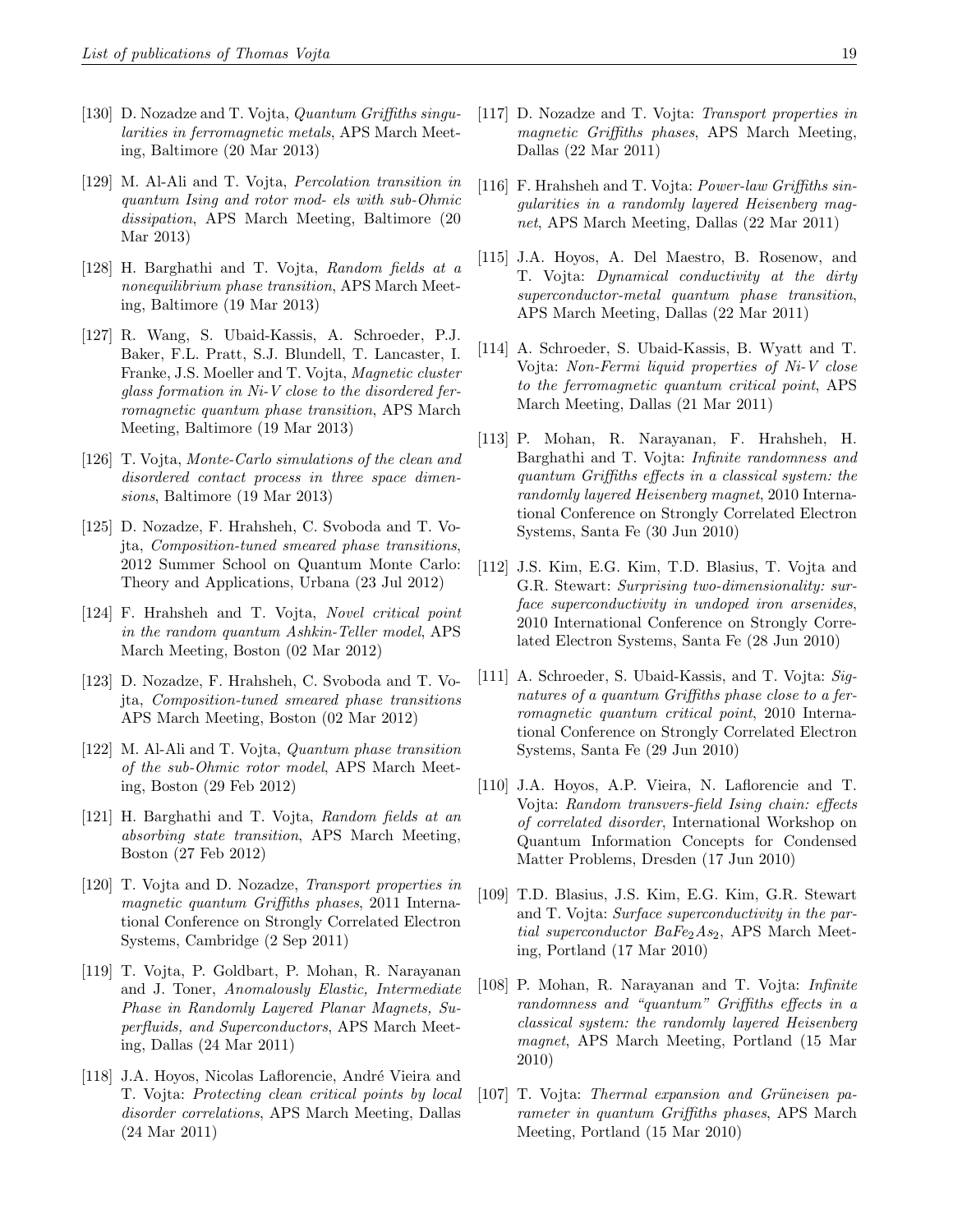- [130] D. Nozadze and T. Vojta, Quantum Griffiths singularities in ferromagnetic metals, APS March Meeting, Baltimore (20 Mar 2013)
- [129] M. Al-Ali and T. Vojta, Percolation transition in quantum Ising and rotor mod- els with sub-Ohmic dissipation, APS March Meeting, Baltimore (20 Mar 2013)
- [128] H. Barghathi and T. Vojta, Random fields at a nonequilibrium phase transition, APS March Meeting, Baltimore (19 Mar 2013)
- [127] R. Wang, S. Ubaid-Kassis, A. Schroeder, P.J. Baker, F.L. Pratt, S.J. Blundell, T. Lancaster, I. Franke, J.S. Moeller and T. Vojta, Magnetic cluster glass formation in Ni-V close to the disordered ferromagnetic quantum phase transition, APS March Meeting, Baltimore (19 Mar 2013)
- [126] T. Vojta, Monte-Carlo simulations of the clean and disordered contact process in three space dimensions, Baltimore (19 Mar 2013)
- [125] D. Nozadze, F. Hrahsheh, C. Svoboda and T. Vojta, Composition-tuned smeared phase transitions, 2012 Summer School on Quantum Monte Carlo: Theory and Applications, Urbana (23 Jul 2012)
- [124] F. Hrahsheh and T. Vojta, Novel critical point in the random quantum Ashkin-Teller model, APS March Meeting, Boston (02 Mar 2012)
- [123] D. Nozadze, F. Hrahsheh, C. Svoboda and T. Vojta, Composition-tuned smeared phase transitions APS March Meeting, Boston (02 Mar 2012)
- [122] M. Al-Ali and T. Vojta, *Quantum phase transition* of the sub-Ohmic rotor model, APS March Meeting, Boston (29 Feb 2012)
- [121] H. Barghathi and T. Vojta, Random fields at an absorbing state transition, APS March Meeting, Boston (27 Feb 2012)
- [120] T. Vojta and D. Nozadze, Transport properties in magnetic quantum Griffiths phases, 2011 International Conference on Strongly Correlated Electron Systems, Cambridge (2 Sep 2011)
- [119] T. Vojta, P. Goldbart, P. Mohan, R. Narayanan and J. Toner, Anomalously Elastic, Intermediate Phase in Randomly Layered Planar Magnets, Superfluids, and Superconductors, APS March Meeting, Dallas (24 Mar 2011)
- [118] J.A. Hoyos, Nicolas Laflorencie, André Vieira and T. Vojta: Protecting clean critical points by local disorder correlations, APS March Meeting, Dallas (24 Mar 2011)
- [117] D. Nozadze and T. Vojta: Transport properties in magnetic Griffiths phases, APS March Meeting, Dallas (22 Mar 2011)
- [116] F. Hrahsheh and T. Vojta: Power-law Griffiths singularities in a randomly layered Heisenberg magnet, APS March Meeting, Dallas (22 Mar 2011)
- [115] J.A. Hoyos, A. Del Maestro, B. Rosenow, and T. Vojta: Dynamical conductivity at the dirty superconductor-metal quantum phase transition, APS March Meeting, Dallas (22 Mar 2011)
- [114] A. Schroeder, S. Ubaid-Kassis, B. Wyatt and T. Vojta: Non-Fermi liquid properties of Ni-V close to the ferromagnetic quantum critical point, APS March Meeting, Dallas (21 Mar 2011)
- [113] P. Mohan, R. Narayanan, F. Hrahsheh, H. Barghathi and T. Vojta: Infinite randomness and quantum Griffiths effects in a classical system: the randomly layered Heisenberg magnet, 2010 International Conference on Strongly Correlated Electron Systems, Santa Fe (30 Jun 2010)
- [112] J.S. Kim, E.G. Kim, T.D. Blasius, T. Vojta and G.R. Stewart: Surprising two-dimensionality: surface superconductivity in undoped iron arsenides, 2010 International Conference on Strongly Correlated Electron Systems, Santa Fe (28 Jun 2010)
- [111] A. Schroeder, S. Ubaid-Kassis, and T. Vojta: Signatures of a quantum Griffiths phase close to a ferromagnetic quantum critical point, 2010 International Conference on Strongly Correlated Electron Systems, Santa Fe (29 Jun 2010)
- [110] J.A. Hoyos, A.P. Vieira, N. Laflorencie and T. Vojta: Random transvers-field Ising chain: effects of correlated disorder, International Workshop on Quantum Information Concepts for Condensed Matter Problems, Dresden (17 Jun 2010)
- [109] T.D. Blasius, J.S. Kim, E.G. Kim, G.R. Stewart and T. Vojta: Surface superconductivity in the partial superconductor  $BaFe<sub>2</sub>As<sub>2</sub>$ , APS March Meeting, Portland (17 Mar 2010)
- [108] P. Mohan, R. Narayanan and T. Vojta: Infinite randomness and "quantum" Griffiths effects in a classical system: the randomly layered Heisenberg magnet, APS March Meeting, Portland (15 Mar 2010)
- [107] T. Vojta: Thermal expansion and Grüneisen parameter in quantum Griffiths phases, APS March Meeting, Portland (15 Mar 2010)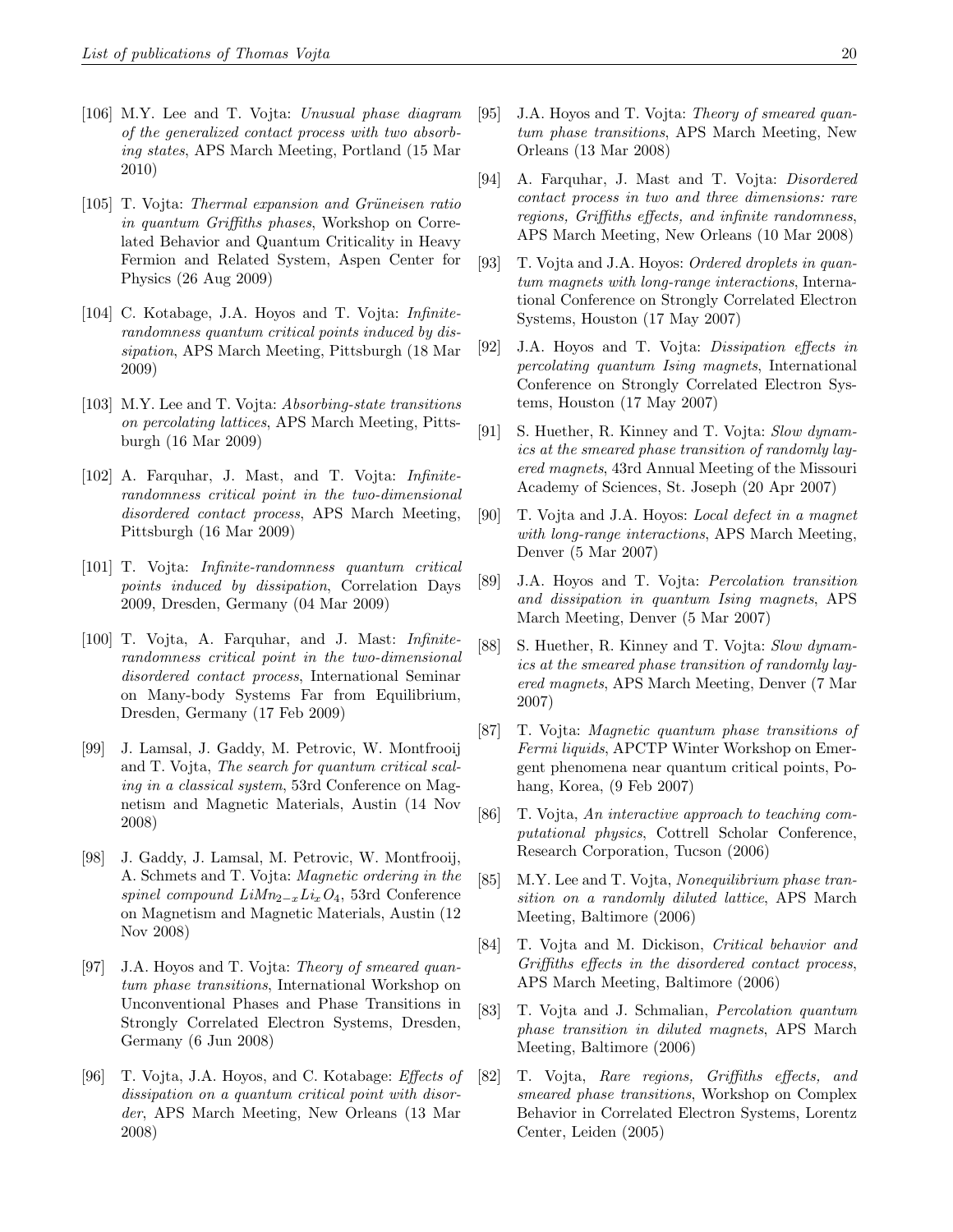- [106] M.Y. Lee and T. Vojta: Unusual phase diagram of the generalized contact process with two absorbing states, APS March Meeting, Portland (15 Mar 2010)
- [105] T. Vojta: Thermal expansion and Grüneisen ratio in quantum Griffiths phases, Workshop on Correlated Behavior and Quantum Criticality in Heavy Fermion and Related System, Aspen Center for Physics (26 Aug 2009)
- [104] C. Kotabage, J.A. Hoyos and T. Vojta: Infiniterandomness quantum critical points induced by dissipation, APS March Meeting, Pittsburgh (18 Mar 2009)
- [103] M.Y. Lee and T. Vojta: Absorbing-state transitions on percolating lattices, APS March Meeting, Pittsburgh (16 Mar 2009)
- [102] A. Farquhar, J. Mast, and T. Vojta: Infiniterandomness critical point in the two-dimensional disordered contact process, APS March Meeting, Pittsburgh (16 Mar 2009)
- [101] T. Vojta: Infinite-randomness quantum critical points induced by dissipation, Correlation Days 2009, Dresden, Germany (04 Mar 2009)
- [100] T. Vojta, A. Farquhar, and J. Mast: Infiniterandomness critical point in the two-dimensional disordered contact process, International Seminar on Many-body Systems Far from Equilibrium, Dresden, Germany (17 Feb 2009)
- [99] J. Lamsal, J. Gaddy, M. Petrovic, W. Montfrooij and T. Vojta, The search for quantum critical scaling in a classical system, 53rd Conference on Magnetism and Magnetic Materials, Austin (14 Nov 2008)
- [98] J. Gaddy, J. Lamsal, M. Petrovic, W. Montfrooij, A. Schmets and T. Vojta: Magnetic ordering in the spinel compound  $Lim_{2-x}Li_xO_4$ , 53rd Conference on Magnetism and Magnetic Materials, Austin (12 Nov 2008)
- [97] J.A. Hoyos and T. Vojta: Theory of smeared quantum phase transitions, International Workshop on Unconventional Phases and Phase Transitions in Strongly Correlated Electron Systems, Dresden, Germany (6 Jun 2008)
- [96] T. Vojta, J.A. Hoyos, and C. Kotabage: *Effects of* dissipation on a quantum critical point with disorder, APS March Meeting, New Orleans (13 Mar 2008)
- [95] J.A. Hoyos and T. Vojta: Theory of smeared quantum phase transitions, APS March Meeting, New Orleans (13 Mar 2008)
- [94] A. Farquhar, J. Mast and T. Vojta: Disordered contact process in two and three dimensions: rare regions, Griffiths effects, and infinite randomness, APS March Meeting, New Orleans (10 Mar 2008)
- [93] T. Vojta and J.A. Hoyos: Ordered droplets in quantum magnets with long-range interactions, International Conference on Strongly Correlated Electron Systems, Houston (17 May 2007)
- [92] J.A. Hoyos and T. Vojta: Dissipation effects in percolating quantum Ising magnets, International Conference on Strongly Correlated Electron Systems, Houston (17 May 2007)
- [91] S. Huether, R. Kinney and T. Vojta: Slow dynamics at the smeared phase transition of randomly layered magnets, 43rd Annual Meeting of the Missouri Academy of Sciences, St. Joseph (20 Apr 2007)
- [90] T. Vojta and J.A. Hoyos: Local defect in a magnet with long-range interactions, APS March Meeting, Denver (5 Mar 2007)
- [89] J.A. Hoyos and T. Vojta: Percolation transition and dissipation in quantum Ising magnets, APS March Meeting, Denver (5 Mar 2007)
- [88] S. Huether, R. Kinney and T. Vojta: Slow dynamics at the smeared phase transition of randomly layered magnets, APS March Meeting, Denver (7 Mar 2007)
- [87] T. Vojta: Magnetic quantum phase transitions of Fermi liquids, APCTP Winter Workshop on Emergent phenomena near quantum critical points, Pohang, Korea, (9 Feb 2007)
- [86] T. Vojta, An interactive approach to teaching computational physics, Cottrell Scholar Conference, Research Corporation, Tucson (2006)
- [85] M.Y. Lee and T. Vojta, Nonequilibrium phase transition on a randomly diluted lattice, APS March Meeting, Baltimore (2006)
- [84] T. Vojta and M. Dickison, Critical behavior and Griffiths effects in the disordered contact process, APS March Meeting, Baltimore (2006)
- [83] T. Vojta and J. Schmalian, Percolation quantum phase transition in diluted magnets, APS March Meeting, Baltimore (2006)
- [82] T. Vojta, Rare regions, Griffiths effects, and smeared phase transitions, Workshop on Complex Behavior in Correlated Electron Systems, Lorentz Center, Leiden (2005)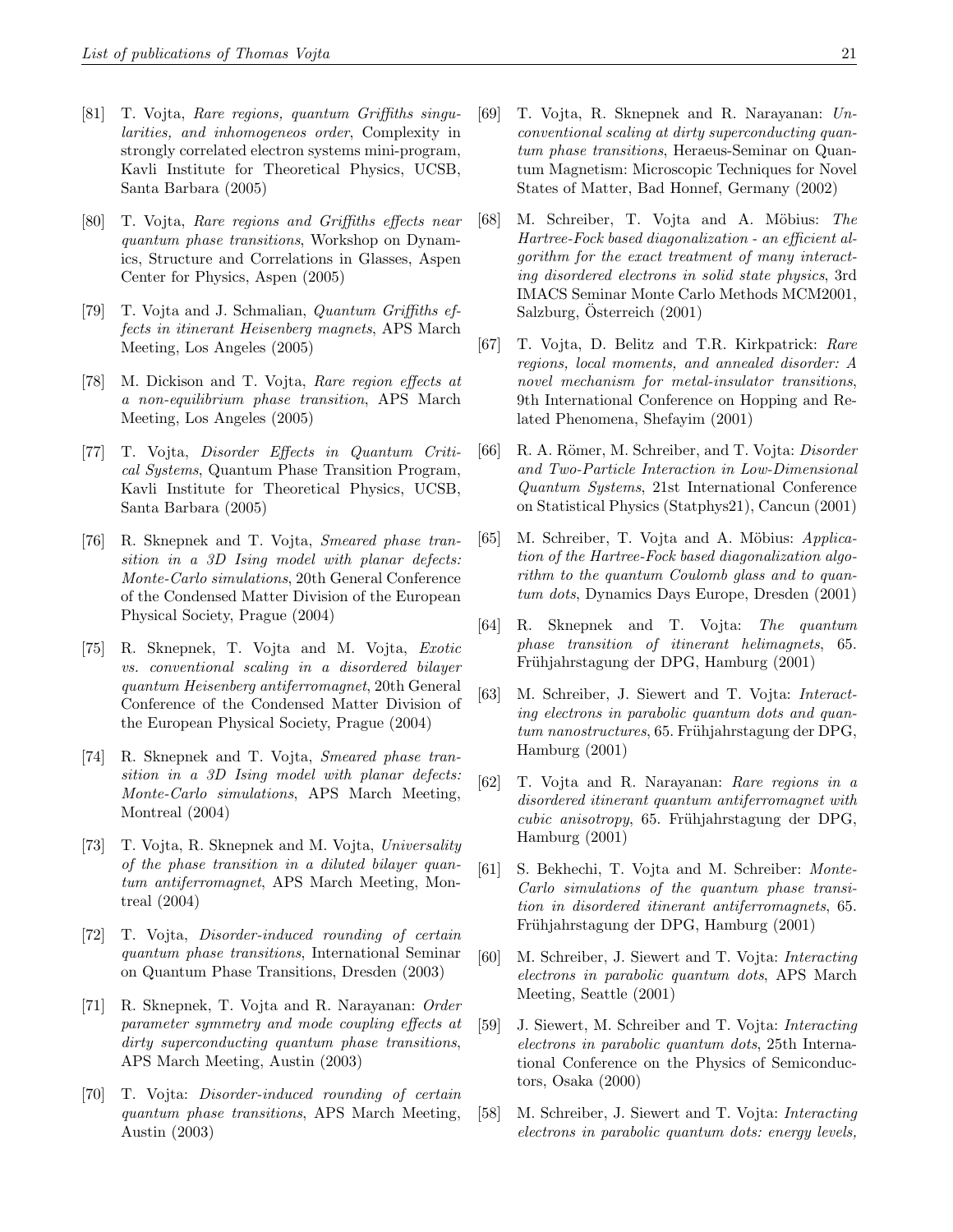- [81] T. Vojta, Rare regions, quantum Griffiths singularities, and inhomogeneos order, Complexity in strongly correlated electron systems mini-program, Kavli Institute for Theoretical Physics, UCSB, Santa Barbara (2005)
- [80] T. Vojta, Rare regions and Griffiths effects near quantum phase transitions, Workshop on Dynamics, Structure and Correlations in Glasses, Aspen Center for Physics, Aspen (2005)
- [79] T. Vojta and J. Schmalian, Quantum Griffiths effects in itinerant Heisenberg magnets, APS March Meeting, Los Angeles (2005)
- [78] M. Dickison and T. Vojta, Rare region effects at a non-equilibrium phase transition, APS March Meeting, Los Angeles (2005)
- [77] T. Vojta, Disorder Effects in Quantum Critical Systems, Quantum Phase Transition Program, Kavli Institute for Theoretical Physics, UCSB, Santa Barbara (2005)
- [76] R. Sknepnek and T. Vojta, Smeared phase transition in a 3D Ising model with planar defects: Monte-Carlo simulations, 20th General Conference of the Condensed Matter Division of the European Physical Society, Prague (2004)
- [75] R. Sknepnek, T. Vojta and M. Vojta, Exotic vs. conventional scaling in a disordered bilayer quantum Heisenberg antiferromagnet, 20th General Conference of the Condensed Matter Division of the European Physical Society, Prague (2004)
- [74] R. Sknepnek and T. Vojta, Smeared phase transition in a 3D Ising model with planar defects: Monte-Carlo simulations, APS March Meeting, Montreal (2004)
- [73] T. Vojta, R. Sknepnek and M. Vojta, Universality of the phase transition in a diluted bilayer quantum antiferromagnet, APS March Meeting, Montreal (2004)
- [72] T. Vojta, Disorder-induced rounding of certain quantum phase transitions, International Seminar on Quantum Phase Transitions, Dresden (2003)
- [71] R. Sknepnek, T. Vojta and R. Narayanan: Order parameter symmetry and mode coupling effects at dirty superconducting quantum phase transitions, APS March Meeting, Austin (2003)
- [70] T. Vojta: Disorder-induced rounding of certain quantum phase transitions, APS March Meeting, Austin (2003)
- [69] T. Vojta, R. Sknepnek and R. Narayanan: Unconventional scaling at dirty superconducting quantum phase transitions, Heraeus-Seminar on Quantum Magnetism: Microscopic Techniques for Novel States of Matter, Bad Honnef, Germany (2002)
- [68] M. Schreiber, T. Vojta and A. Möbius: The Hartree-Fock based diagonalization - an efficient algorithm for the exact treatment of many interacting disordered electrons in solid state physics, 3rd IMACS Seminar Monte Carlo Methods MCM2001, Salzburg, Österreich  $(2001)$
- [67] T. Vojta, D. Belitz and T.R. Kirkpatrick: Rare regions, local moments, and annealed disorder: A novel mechanism for metal-insulator transitions, 9th International Conference on Hopping and Related Phenomena, Shefayim (2001)
- [66] R. A. Römer, M. Schreiber, and T. Vojta: *Disorder* and Two-Particle Interaction in Low-Dimensional Quantum Systems, 21st International Conference on Statistical Physics (Statphys21), Cancun (2001)
- [65] M. Schreiber, T. Vojta and A. Möbius: Application of the Hartree-Fock based diagonalization algorithm to the quantum Coulomb glass and to quantum dots, Dynamics Days Europe, Dresden (2001)
- [64] R. Sknepnek and T. Vojta: The quantum phase transition of itinerant helimagnets, 65. Frühjahrstagung der DPG, Hamburg (2001)
- [63] M. Schreiber, J. Siewert and T. Vojta: Interacting electrons in parabolic quantum dots and quan $tum$  nanostructures, 65. Frühjahrstagung der DPG, Hamburg (2001)
- [62] T. Vojta and R. Narayanan: Rare regions in a disordered itinerant quantum antiferromagnet with  $cubic\ anisotropy, 65. Frühjahrstagung der DPG,$ Hamburg (2001)
- [61] S. Bekhechi, T. Vojta and M. Schreiber: Monte-Carlo simulations of the quantum phase transition in disordered itinerant antiferromagnets, 65. Frühjahrstagung der DPG, Hamburg (2001)
- [60] M. Schreiber, J. Siewert and T. Vojta: Interacting electrons in parabolic quantum dots, APS March Meeting, Seattle (2001)
- [59] J. Siewert, M. Schreiber and T. Vojta: Interacting electrons in parabolic quantum dots, 25th International Conference on the Physics of Semiconductors, Osaka (2000)
- [58] M. Schreiber, J. Siewert and T. Vojta: Interacting electrons in parabolic quantum dots: energy levels,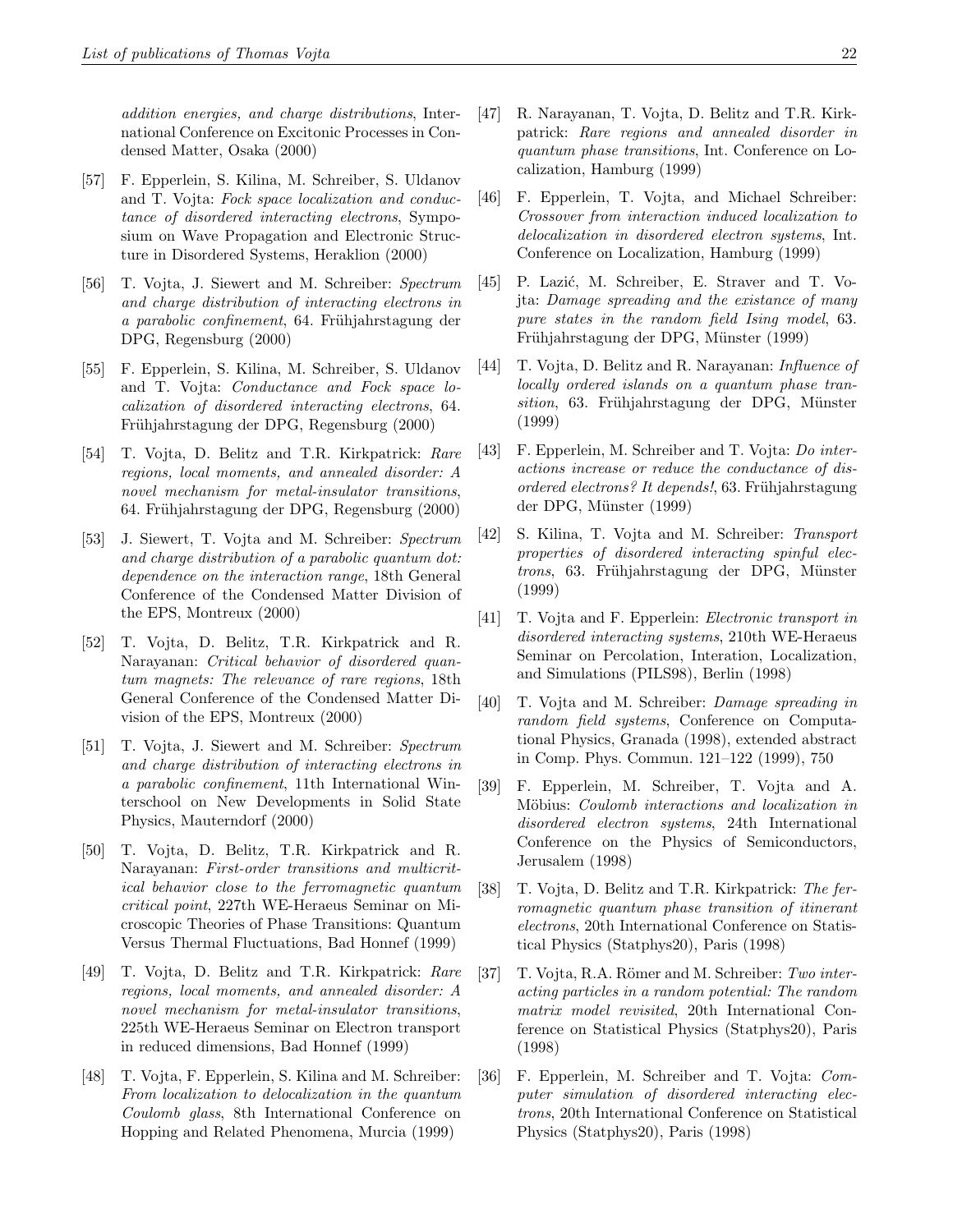addition energies, and charge distributions, International Conference on Excitonic Processes in Condensed Matter, Osaka (2000)

- [57] F. Epperlein, S. Kilina, M. Schreiber, S. Uldanov and T. Vojta: Fock space localization and conductance of disordered interacting electrons, Symposium on Wave Propagation and Electronic Structure in Disordered Systems, Heraklion (2000)
- [56] T. Vojta, J. Siewert and M. Schreiber: Spectrum and charge distribution of interacting electrons in a parabolic confinement, 64. Frühjahrstagung der DPG, Regensburg (2000)
- [55] F. Epperlein, S. Kilina, M. Schreiber, S. Uldanov and T. Vojta: Conductance and Fock space localization of disordered interacting electrons, 64. Frühjahrstagung der DPG, Regensburg (2000)
- [54] T. Vojta, D. Belitz and T.R. Kirkpatrick: Rare regions, local moments, and annealed disorder: A novel mechanism for metal-insulator transitions, 64. Frühjahrstagung der DPG, Regensburg (2000)
- [53] J. Siewert, T. Vojta and M. Schreiber: Spectrum and charge distribution of a parabolic quantum dot: dependence on the interaction range, 18th General Conference of the Condensed Matter Division of the EPS, Montreux (2000)
- [52] T. Vojta, D. Belitz, T.R. Kirkpatrick and R. Narayanan: Critical behavior of disordered quantum magnets: The relevance of rare regions, 18th General Conference of the Condensed Matter Division of the EPS, Montreux (2000)
- [51] T. Vojta, J. Siewert and M. Schreiber: Spectrum and charge distribution of interacting electrons in a parabolic confinement, 11th International Winterschool on New Developments in Solid State Physics, Mauterndorf (2000)
- [50] T. Vojta, D. Belitz, T.R. Kirkpatrick and R. Narayanan: First-order transitions and multicritical behavior close to the ferromagnetic quantum critical point, 227th WE-Heraeus Seminar on Microscopic Theories of Phase Transitions: Quantum Versus Thermal Fluctuations, Bad Honnef (1999)
- [49] T. Vojta, D. Belitz and T.R. Kirkpatrick: Rare regions, local moments, and annealed disorder: A novel mechanism for metal-insulator transitions, 225th WE-Heraeus Seminar on Electron transport in reduced dimensions, Bad Honnef (1999)
- [48] T. Vojta, F. Epperlein, S. Kilina and M. Schreiber: From localization to delocalization in the quantum Coulomb glass, 8th International Conference on Hopping and Related Phenomena, Murcia (1999)
- [47] R. Narayanan, T. Vojta, D. Belitz and T.R. Kirkpatrick: Rare regions and annealed disorder in quantum phase transitions, Int. Conference on Localization, Hamburg (1999)
- [46] F. Epperlein, T. Vojta, and Michael Schreiber: Crossover from interaction induced localization to delocalization in disordered electron systems, Int. Conference on Localization, Hamburg (1999)
- [45] P. Lazić, M. Schreiber, E. Straver and T. Vojta: Damage spreading and the existance of many pure states in the random field Ising model, 63. Frühjahrstagung der DPG, Münster (1999)
- [44] T. Vojta, D. Belitz and R. Narayanan: Influence of locally ordered islands on a quantum phase transition, 63. Frühjahrstagung der DPG, Münster (1999)
- [43] F. Epperlein, M. Schreiber and T. Vojta: Do interactions increase or reduce the conductance of disordered electrons? It depends!, 63. Frühjahrstagung der DPG, Münster (1999)
- [42] S. Kilina, T. Vojta and M. Schreiber: Transport properties of disordered interacting spinful electrons, 63. Frühjahrstagung der DPG, Münster (1999)
- [41] T. Vojta and F. Epperlein: Electronic transport in disordered interacting systems, 210th WE-Heraeus Seminar on Percolation, Interation, Localization, and Simulations (PILS98), Berlin (1998)
- [40] T. Vojta and M. Schreiber: Damage spreading in random field systems, Conference on Computational Physics, Granada (1998), extended abstract in Comp. Phys. Commun. 121–122 (1999), 750
- [39] F. Epperlein, M. Schreiber, T. Vojta and A. Möbius: Coulomb interactions and localization in disordered electron systems, 24th International Conference on the Physics of Semiconductors, Jerusalem (1998)
- [38] T. Vojta, D. Belitz and T.R. Kirkpatrick: The ferromagnetic quantum phase transition of itinerant electrons, 20th International Conference on Statistical Physics (Statphys20), Paris (1998)
- [37] T. Vojta, R.A. Römer and M. Schreiber: Two interacting particles in a random potential: The random matrix model revisited, 20th International Conference on Statistical Physics (Statphys20), Paris (1998)
- [36] F. Epperlein, M. Schreiber and T. Vojta: Computer simulation of disordered interacting electrons, 20th International Conference on Statistical Physics (Statphys20), Paris (1998)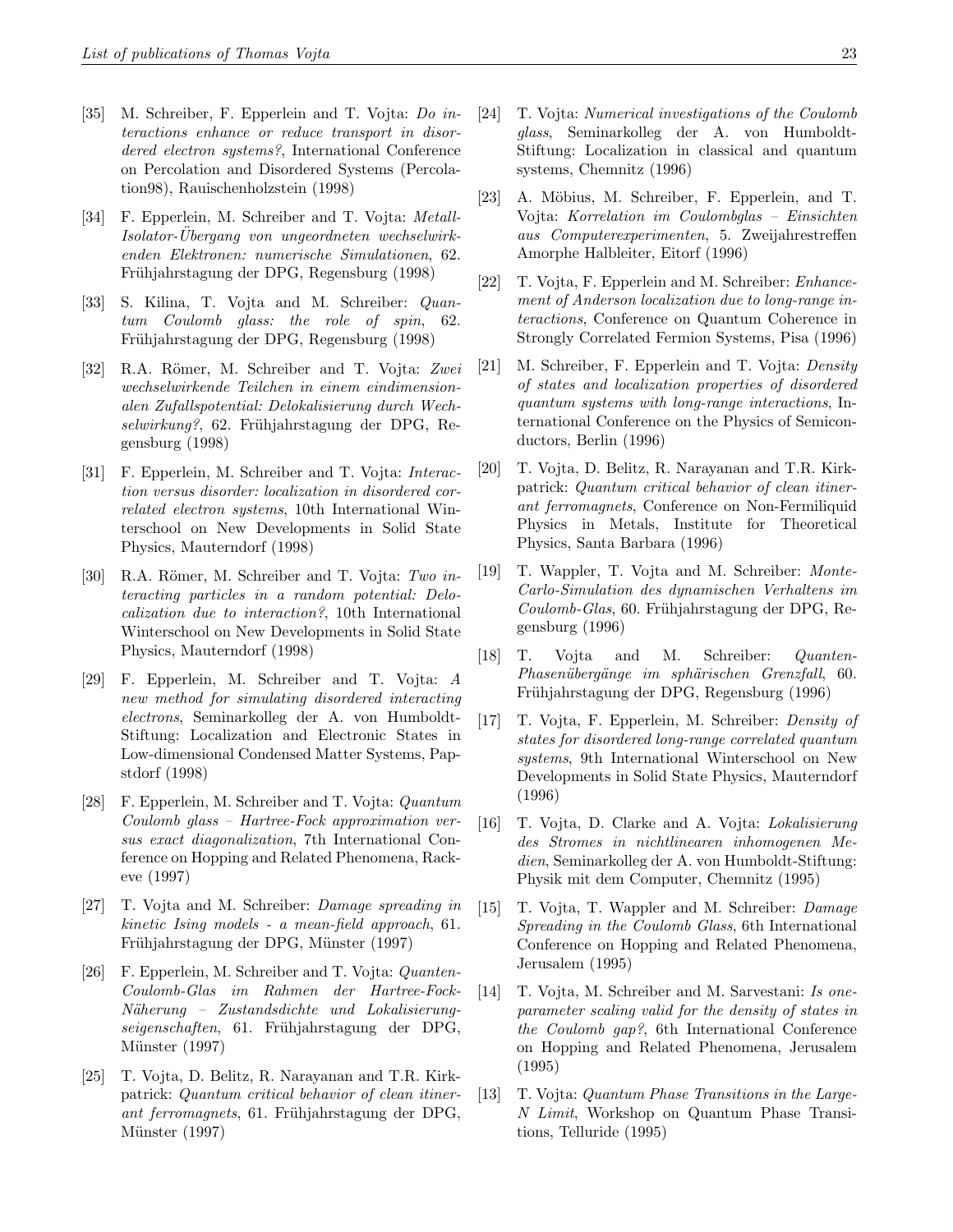- [35] M. Schreiber, F. Epperlein and T. Vojta: Do interactions enhance or reduce transport in disordered electron systems?, International Conference on Percolation and Disordered Systems (Percolation98), Rauischenholzstein (1998)
- [34] F. Epperlein, M. Schreiber and T. Vojta: Metall-Isolator-Ubergang von ungeordneten wechselwirk- ¨ enden Elektronen: numerische Simulationen, 62. Frühjahrstagung der DPG, Regensburg (1998)
- [33] S. Kilina, T. Vojta and M. Schreiber: Quantum Coulomb glass: the role of spin, 62. Frühjahrstagung der DPG, Regensburg (1998)
- [32] R.A. Römer, M. Schreiber and T. Vojta: Zwei wechselwirkende Teilchen in einem eindimensionalen Zufallspotential: Delokalisierung durch Wech $selwirkung$ ?, 62. Frühjahrstagung der DPG, Regensburg (1998)
- [31] F. Epperlein, M. Schreiber and T. Vojta: Interaction versus disorder: localization in disordered correlated electron systems, 10th International Winterschool on New Developments in Solid State Physics, Mauterndorf (1998)
- [30] R.A. Römer, M. Schreiber and T. Vojta: Two interacting particles in a random potential: Delocalization due to interaction?, 10th International Winterschool on New Developments in Solid State Physics, Mauterndorf (1998)
- [29] F. Epperlein, M. Schreiber and T. Vojta: A new method for simulating disordered interacting electrons, Seminarkolleg der A. von Humboldt-Stiftung: Localization and Electronic States in Low-dimensional Condensed Matter Systems, Papstdorf (1998)
- [28] F. Epperlein, M. Schreiber and T. Vojta: Quantum Coulomb glass – Hartree-Fock approximation versus exact diagonalization, 7th International Conference on Hopping and Related Phenomena, Rackeve (1997)
- [27] T. Vojta and M. Schreiber: Damage spreading in kinetic Ising models - a mean-field approach, 61. Frühjahrstagung der DPG, Münster (1997)
- [26] F. Epperlein, M. Schreiber and T. Vojta: Quanten-Coulomb-Glas im Rahmen der Hartree-Fock-N¨aherung – Zustandsdichte und Lokalisierungseigenschaften, 61. Frühjahrstagung der DPG, Münster (1997)
- [25] T. Vojta, D. Belitz, R. Narayanan and T.R. Kirkpatrick: Quantum critical behavior of clean itinerant ferromagnets, 61. Frühjahrstagung der DPG, Münster (1997)
- [24] T. Vojta: Numerical investigations of the Coulomb glass, Seminarkolleg der A. von Humboldt-Stiftung: Localization in classical and quantum systems, Chemnitz (1996)
- [23] A. Möbius, M. Schreiber, F. Epperlein, and T. Vojta: Korrelation im Coulombglas – Einsichten aus Computerexperimenten, 5. Zweijahrestreffen Amorphe Halbleiter, Eitorf (1996)
- [22] T. Vojta, F. Epperlein and M. Schreiber: Enhancement of Anderson localization due to long-range interactions, Conference on Quantum Coherence in Strongly Correlated Fermion Systems, Pisa (1996)
- [21] M. Schreiber, F. Epperlein and T. Vojta: Density of states and localization properties of disordered quantum systems with long-range interactions, International Conference on the Physics of Semiconductors, Berlin (1996)
- [20] T. Vojta, D. Belitz, R. Narayanan and T.R. Kirkpatrick: Quantum critical behavior of clean itinerant ferromagnets, Conference on Non-Fermiliquid Physics in Metals, Institute for Theoretical Physics, Santa Barbara (1996)
- [19] T. Wappler, T. Vojta and M. Schreiber: Monte-Carlo-Simulation des dynamischen Verhaltens im  $Coulomb-Glas, 60. Frühjahrstagung der DPG, Re$ gensburg (1996)
- [18] T. Vojta and M. Schreiber: Quanten-Phasenübergänge im sphärischen Grenzfall, 60. Frühjahrstagung der DPG, Regensburg (1996)
- [17] T. Vojta, F. Epperlein, M. Schreiber: Density of states for disordered long-range correlated quantum systems, 9th International Winterschool on New Developments in Solid State Physics, Mauterndorf (1996)
- [16] T. Vojta, D. Clarke and A. Vojta: Lokalisierung des Stromes in nichtlinearen inhomogenen Medien, Seminarkolleg der A. von Humboldt-Stiftung: Physik mit dem Computer, Chemnitz (1995)
- [15] T. Vojta, T. Wappler and M. Schreiber: Damage Spreading in the Coulomb Glass, 6th International Conference on Hopping and Related Phenomena, Jerusalem (1995)
- [14] T. Vojta, M. Schreiber and M. Sarvestani: Is oneparameter scaling valid for the density of states in the Coulomb gap?, 6th International Conference on Hopping and Related Phenomena, Jerusalem (1995)
- [13] T. Vojta: Quantum Phase Transitions in the Large-N Limit, Workshop on Quantum Phase Transitions, Telluride (1995)